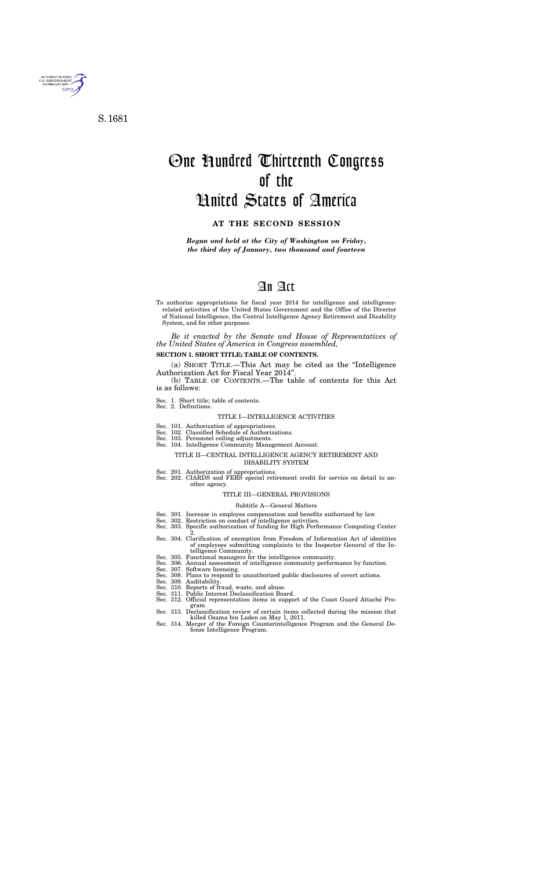

S. 1681

# One Hundred Thirteenth Congress of the United States of America

#### **AT THE SECOND SESSION**

*Begun and held at the City of Washington on Friday, the third day of January, two thousand and fourteen* 

## An Act

To authorize appropriations for fiscal year 2014 for intelligence and intelligencerelated activities of the United States Government and the Office of the Director of National Intelligence, the Central Intelligence Agency Retirement and Disability System, and for other purposes.

*Be it enacted by the Senate and House of Representatives of the United States of America in Congress assembled,* 

#### **SECTION 1. SHORT TITLE; TABLE OF CONTENTS.**

- Sec. 301. Increase in employee compensation and benefits authorized by law.
- Sec. 302. Restriction on conduct of intelligence activities.
- Sec. 303. Specific authorization of funding for High Performance Computing Center 2.
- Sec. 304. Clarification of exemption from Freedom of Information Act of identities of employees submitting complaints to the Inspector General of the Intelligence Community.
- Sec. 305. Functional managers for the intelligence community.
- Sec. 306. Annual assessment of intelligence community performance by function.
- Sec. 307. Software licensing.
- Sec. 308. Plans to respond to unauthorized public disclosures of covert actions.
- Sec. 309. Auditability.
- Sec. 310. Reports of fraud, waste, and abuse.
- Sec. 311. Public Interest Declassification Board. Sec. 312. Official representation items in support of the Coast Guard Attache´ Pro-
- gram. Sec. 313. Declassification review of certain items collected during the mission that killed Osama bin Laden on May 1, 2011.
- Sec. 314. Merger of the Foreign Counterintelligence Program and the General De-Sec. 314. Merger of the Foreign Counterintelligence Program and the General De-<br>fense Intelligence Program.

(a) SHORT TITLE.—This Act may be cited as the ''Intelligence Authorization Act for Fiscal Year 2014''.

(b) TABLE OF CONTENTS.—The table of contents for this Act is as follows:

Sec. 1. Short title; table of contents. Sec. 2. Definitions.

#### TITLE I—INTELLIGENCE ACTIVITIES

- Sec. 101. Authorization of appropriations.
- Sec. 102. Classified Schedule of Authorizations.
- Sec. 103. Personnel ceiling adjustments.
- Sec. 104. Intelligence Community Management Account.

#### TITLE II—CENTRAL INTELLIGENCE AGENCY RETIREMENT AND DISABILITY SYSTEM

- Sec. 201. Authorization of appropriations.
- Sec. 202. CIARDS and FERS special retirement credit for service on detail to another agency.

#### TITLE III—GENERAL PROVISIONS

### Subtitle A—General Matters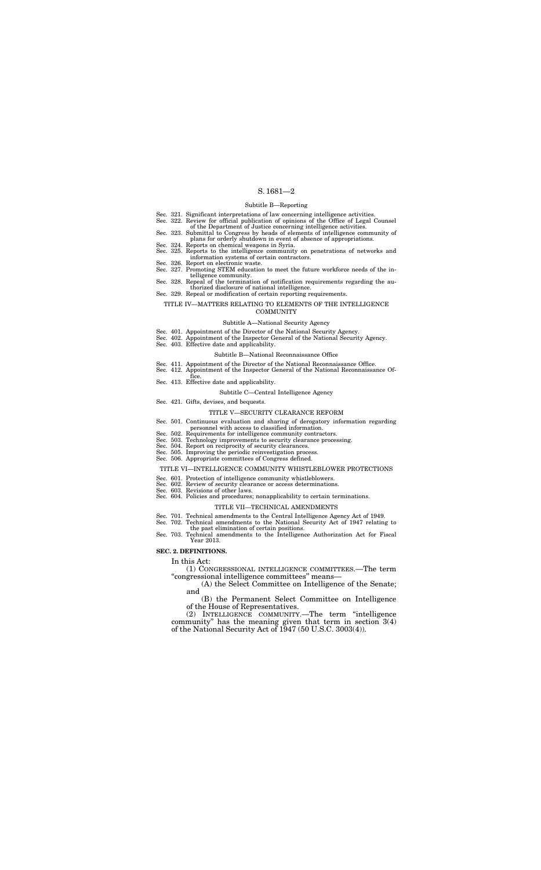#### Subtitle B—Reporting

#### TITLE IV—MATTERS RELATING TO ELEMENTS OF THE INTELLIGENCE **COMMUNITY**

- Sec. 321. Significant interpretations of law concerning intelligence activities.
- Sec. 322. Review for official publication of opinions of the Office of Legal Counsel
- of the Department of Justice concerning intelligence activities. Sec. 323. Submittal to Congress by heads of elements of intelligence community of plans for orderly shutdown in event of absence of appropriations.
- Sec. 324. Reports on chemical weapons in Syria. Sec. 325. Reports to the intelligence community on penetrations of networks and
- information systems of certain contractors. Sec. 326. Report on electronic waste.
- 
- Sec. 327. Promoting STEM education to meet the future workforce needs of the intelligence community.
- Sec. 328. Repeal of the termination of notification requirements regarding the authorized disclosure of national intelligence.
- Sec. 329. Repeal or modification of certain reporting requirements.

#### Subtitle A—National Security Agency

- Sec. 401. Appointment of the Director of the National Security Agency.
- Sec. 402. Appointment of the Inspector General of the National Security Agency.
- Sec. 403. Effective date and applicability.

#### Subtitle B—National Reconnaissance Office

- Sec. 411. Appointment of the Director of the National Reconnaissance Office.
- Sec. 412. Appointment of the Inspector General of the National Reconnaissance Office.
- Sec. 413. Effective date and applicability.
	- Subtitle C—Central Intelligence Agency
- Sec. 421. Gifts, devises, and bequests.

#### TITLE V—SECURITY CLEARANCE REFORM

- Sec. 501. Continuous evaluation and sharing of derogatory information regarding personnel with access to classified information.
- Sec. 502. Requirements for intelligence community contractors.
- Sec. 503. Technology improvements to security clearance processing.
- Sec. 504. Report on reciprocity of security clearances.
- Sec. 505. Improving the periodic reinvestigation process.
- Sec. 506. Appropriate committees of Congress defined.

#### TITLE VI—INTELLIGENCE COMMUNITY WHISTLEBLOWER PROTECTIONS

- Sec. 601. Protection of intelligence community whistleblowers.
- Sec. 602. Review of security clearance or access determinations.
- Sec. 603. Revisions of other laws.

#### Sec. 604. Policies and procedures; nonapplicability to certain terminations.

#### TITLE VII—TECHNICAL AMENDMENTS

- Sec. 701. Technical amendments to the Central Intelligence Agency Act of 1949.
- Sec. 702. Technical amendments to the National Security Act of 1947 relating to the past elimination of certain positions.
- Sec. 703. Technical amendments to the Intelligence Authorization Act for Fiscal Year 2013.

#### **SEC. 2. DEFINITIONS.**

#### In this Act:

(1) CONGRESSIONAL INTELLIGENCE COMMITTEES.—The term ''congressional intelligence committees'' means—

(A) the Select Committee on Intelligence of the Senate; and

(B) the Permanent Select Committee on Intelligence of the House of Representatives.

(2) INTELLIGENCE COMMUNITY.—The term ''intelligence community'' has the meaning given that term in section 3(4) of the National Security Act of 1947 (50 U.S.C. 3003(4)).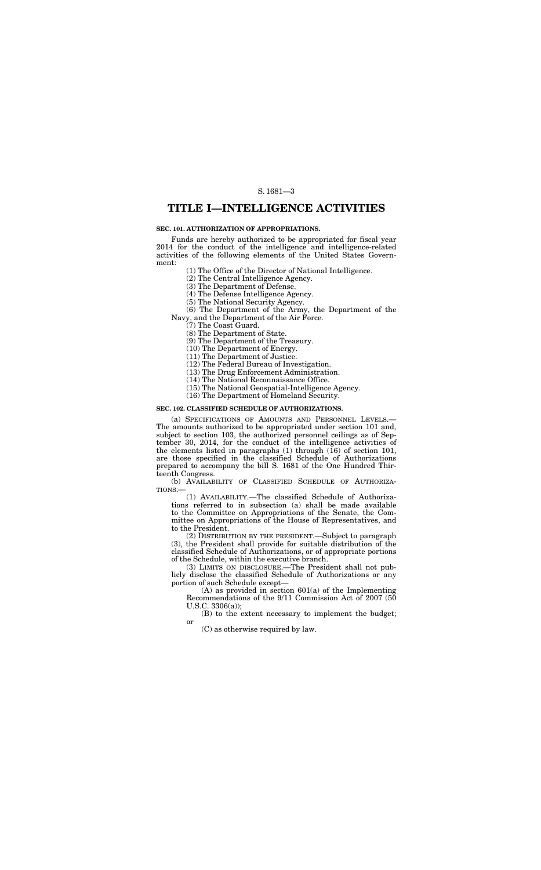## **TITLE I—INTELLIGENCE ACTIVITIES**

#### **SEC. 101. AUTHORIZATION OF APPROPRIATIONS.**

Funds are hereby authorized to be appropriated for fiscal year 2014 for the conduct of the intelligence and intelligence-related activities of the following elements of the United States Government:

(1) The Office of the Director of National Intelligence.

(2) The Central Intelligence Agency.

(3) The Department of Defense.

(4) The Defense Intelligence Agency.

(5) The National Security Agency.

(6) The Department of the Army, the Department of the Navy, and the Department of the Air Force.

(7) The Coast Guard.

(8) The Department of State.

(9) The Department of the Treasury.

(10) The Department of Energy.

(11) The Department of Justice.

(12) The Federal Bureau of Investigation.

(13) The Drug Enforcement Administration.

(14) The National Reconnaissance Office.

(15) The National Geospatial-Intelligence Agency.

(16) The Department of Homeland Security.

#### **SEC. 102. CLASSIFIED SCHEDULE OF AUTHORIZATIONS.**

(a) SPECIFICATIONS OF AMOUNTS AND PERSONNEL LEVELS.— The amounts authorized to be appropriated under section 101 and, subject to section 103, the authorized personnel ceilings as of September 30, 2014, for the conduct of the intelligence activities of the elements listed in paragraphs (1) through (16) of section 101, are those specified in the classified Schedule of Authorizations prepared to accompany the bill S. 1681 of the One Hundred Thirteenth Congress.

(b) AVAILABILITY OF CLASSIFIED SCHEDULE OF AUTHORIZA-TIONS.—

(1) AVAILABILITY.—The classified Schedule of Authorizations referred to in subsection (a) shall be made available to the Committee on Appropriations of the Senate, the Committee on Appropriations of the House of Representatives, and to the President.

(2) DISTRIBUTION BY THE PRESIDENT.—Subject to paragraph (3), the President shall provide for suitable distribution of the classified Schedule of Authorizations, or of appropriate portions of the Schedule, within the executive branch.

(3) LIMITS ON DISCLOSURE.—The President shall not publicly disclose the classified Schedule of Authorizations or any portion of such Schedule except—

(A) as provided in section 601(a) of the Implementing Recommendations of the 9/11 Commission Act of 2007 (50 U.S.C. 3306(a));

(B) to the extent necessary to implement the budget; or

(C) as otherwise required by law.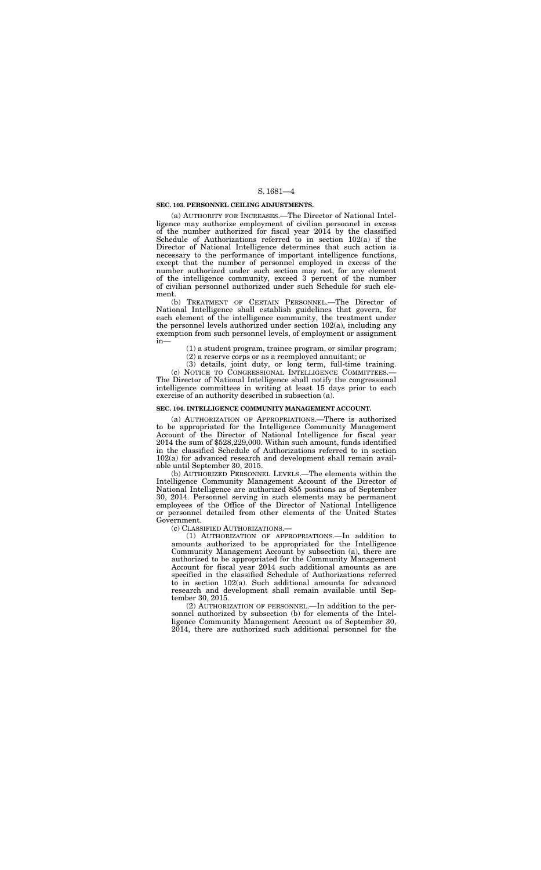#### **SEC. 103. PERSONNEL CEILING ADJUSTMENTS.**

(a) AUTHORITY FOR INCREASES.—The Director of National Intelligence may authorize employment of civilian personnel in excess of the number authorized for fiscal year 2014 by the classified Schedule of Authorizations referred to in section 102(a) if the Director of National Intelligence determines that such action is necessary to the performance of important intelligence functions, except that the number of personnel employed in excess of the number authorized under such section may not, for any element of the intelligence community, exceed 3 percent of the number of civilian personnel authorized under such Schedule for such element.

(b) TREATMENT OF CERTAIN PERSONNEL.—The Director of National Intelligence shall establish guidelines that govern, for each element of the intelligence community, the treatment under the personnel levels authorized under section 102(a), including any exemption from such personnel levels, of employment or assignment in—

(1) a student program, trainee program, or similar program;

(2) a reserve corps or as a reemployed annuitant; or

(3) details, joint duty, or long term, full-time training.

(c) NOTICE TO CONGRESSIONAL INTELLIGENCE COMMITTEES.— The Director of National Intelligence shall notify the congressional intelligence committees in writing at least 15 days prior to each exercise of an authority described in subsection (a).

#### **SEC. 104. INTELLIGENCE COMMUNITY MANAGEMENT ACCOUNT.**

(a) AUTHORIZATION OF APPROPRIATIONS.—There is authorized to be appropriated for the Intelligence Community Management Account of the Director of National Intelligence for fiscal year 2014 the sum of \$528,229,000. Within such amount, funds identified in the classified Schedule of Authorizations referred to in section 102(a) for advanced research and development shall remain available until September 30, 2015.

(b) AUTHORIZED PERSONNEL LEVELS.—The elements within the Intelligence Community Management Account of the Director of National Intelligence are authorized 855 positions as of September 30, 2014. Personnel serving in such elements may be permanent employees of the Office of the Director of National Intelligence or personnel detailed from other elements of the United States Government.

(c) CLASSIFIED AUTHORIZATIONS.—

(1) AUTHORIZATION OF APPROPRIATIONS.—In addition to amounts authorized to be appropriated for the Intelligence Community Management Account by subsection (a), there are authorized to be appropriated for the Community Management Account for fiscal year 2014 such additional amounts as are specified in the classified Schedule of Authorizations referred to in section 102(a). Such additional amounts for advanced research and development shall remain available until September 30, 2015.

(2) AUTHORIZATION OF PERSONNEL.—In addition to the personnel authorized by subsection (b) for elements of the Intelligence Community Management Account as of September 30, 2014, there are authorized such additional personnel for the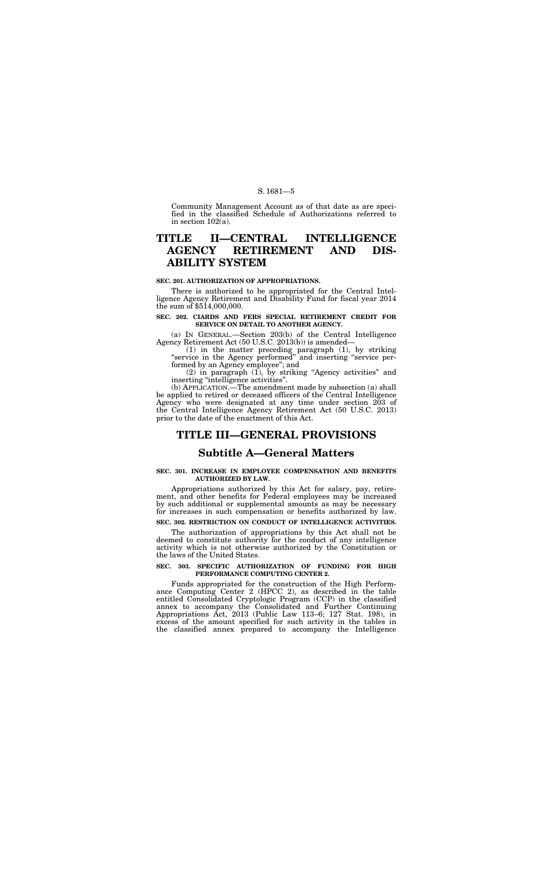Community Management Account as of that date as are specified in the classified Schedule of Authorizations referred to in section 102(a).

## **TITLE II—CENTRAL INTELLIGENCE AGENCY RETIREMENT AND DIS-ABILITY SYSTEM**

#### **SEC. 201. AUTHORIZATION OF APPROPRIATIONS.**

There is authorized to be appropriated for the Central Intelligence Agency Retirement and Disability Fund for fiscal year 2014 the sum of \$514,000,000.

 $(2)$  in paragraph  $(1)$ , by striking "Agency activities" and inserting ''intelligence activities''.

#### **SEC. 202. CIARDS AND FERS SPECIAL RETIREMENT CREDIT FOR SERVICE ON DETAIL TO ANOTHER AGENCY.**

(a) IN GENERAL.—Section 203(b) of the Central Intelligence Agency Retirement Act (50 U.S.C. 2013(b)) is amended—

(1) in the matter preceding paragraph (1), by striking ''service in the Agency performed'' and inserting ''service performed by an Agency employee''; and

(b) APPLICATION.—The amendment made by subsection (a) shall be applied to retired or deceased officers of the Central Intelligence Agency who were designated at any time under section 203 of the Central Intelligence Agency Retirement Act (50 U.S.C. 2013) prior to the date of the enactment of this Act.

## **TITLE III—GENERAL PROVISIONS**

## **Subtitle A—General Matters**

#### **SEC. 301. INCREASE IN EMPLOYEE COMPENSATION AND BENEFITS AUTHORIZED BY LAW.**

Appropriations authorized by this Act for salary, pay, retirement, and other benefits for Federal employees may be increased by such additional or supplemental amounts as may be necessary for increases in such compensation or benefits authorized by law.

## **SEC. 302. RESTRICTION ON CONDUCT OF INTELLIGENCE ACTIVITIES.**

The authorization of appropriations by this Act shall not be deemed to constitute authority for the conduct of any intelligence activity which is not otherwise authorized by the Constitution or the laws of the United States.

#### **SEC. 303. SPECIFIC AUTHORIZATION OF FUNDING FOR HIGH PERFORMANCE COMPUTING CENTER 2.**

Funds appropriated for the construction of the High Performance Computing Center 2 (HPCC 2), as described in the table entitled Consolidated Cryptologic Program (CCP) in the classified annex to accompany the Consolidated and Further Continuing Appropriations Act, 2013 (Public Law 113–6; 127 Stat. 198), in excess of the amount specified for such activity in the tables in the classified annex prepared to accompany the Intelligence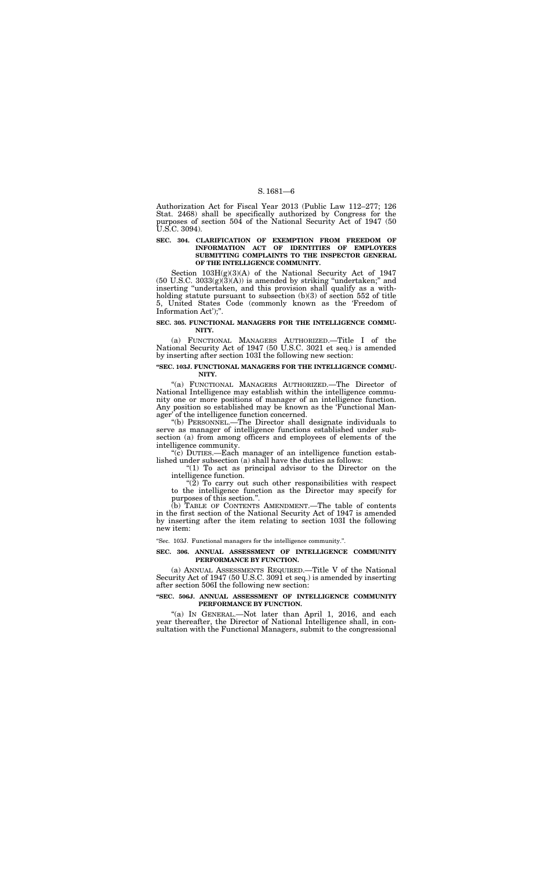Authorization Act for Fiscal Year 2013 (Public Law 112–277; 126 Stat. 2468) shall be specifically authorized by Congress for the purposes of section 504 of the National Security Act of 1947 (50 U.S.C. 3094).

#### **SEC. 304. CLARIFICATION OF EXEMPTION FROM FREEDOM OF INFORMATION ACT OF IDENTITIES OF EMPLOYEES SUBMITTING COMPLAINTS TO THE INSPECTOR GENERAL OF THE INTELLIGENCE COMMUNITY.**

Section 103H(g)(3)(A) of the National Security Act of 1947  $(50 \text{ U.S.C. } 3033(g)(3)(\text{A}))$  is amended by striking "undertaken;" and inserting ''undertaken, and this provision shall qualify as a withholding statute pursuant to subsection (b)(3) of section 552 of title 5, United States Code (commonly known as the 'Freedom of Information Act');''.

#### **SEC. 305. FUNCTIONAL MANAGERS FOR THE INTELLIGENCE COMMU-NITY.**

 $\degree$ (c) DUTIES.—Each manager of an intelligence function established under subsection (a) shall have the duties as follows:

"(1) To act as principal advisor to the Director on the intelligence function.

(a) FUNCTIONAL MANAGERS AUTHORIZED.—Title I of the National Security Act of 1947 (50 U.S.C. 3021 et seq.) is amended by inserting after section 103I the following new section:

" $(2)$  To carry out such other responsibilities with respect to the intelligence function as the Director may specify for purposes of this section.''.

#### **''SEC. 103J. FUNCTIONAL MANAGERS FOR THE INTELLIGENCE COMMU-NITY.**

''(a) FUNCTIONAL MANAGERS AUTHORIZED.—The Director of National Intelligence may establish within the intelligence community one or more positions of manager of an intelligence function. Any position so established may be known as the 'Functional Manager' of the intelligence function concerned.

"(a) IN GENERAL.—Not later than April 1, 2016, and each year thereafter, the Director of National Intelligence shall, in consultation with the Functional Managers, submit to the congressional

''(b) PERSONNEL.—The Director shall designate individuals to serve as manager of intelligence functions established under subsection (a) from among officers and employees of elements of the intelligence community.

(b) TABLE OF CONTENTS AMENDMENT.—The table of contents in the first section of the National Security Act of 1947 is amended by inserting after the item relating to section 103I the following new item:

''Sec. 103J. Functional managers for the intelligence community.''.

#### **SEC. 306. ANNUAL ASSESSMENT OF INTELLIGENCE COMMUNITY PERFORMANCE BY FUNCTION.**

(a) ANNUAL ASSESSMENTS REQUIRED.—Title V of the National Security Act of 1947 (50 U.S.C. 3091 et seq.) is amended by inserting after section 506I the following new section:

#### **''SEC. 506J. ANNUAL ASSESSMENT OF INTELLIGENCE COMMUNITY PERFORMANCE BY FUNCTION.**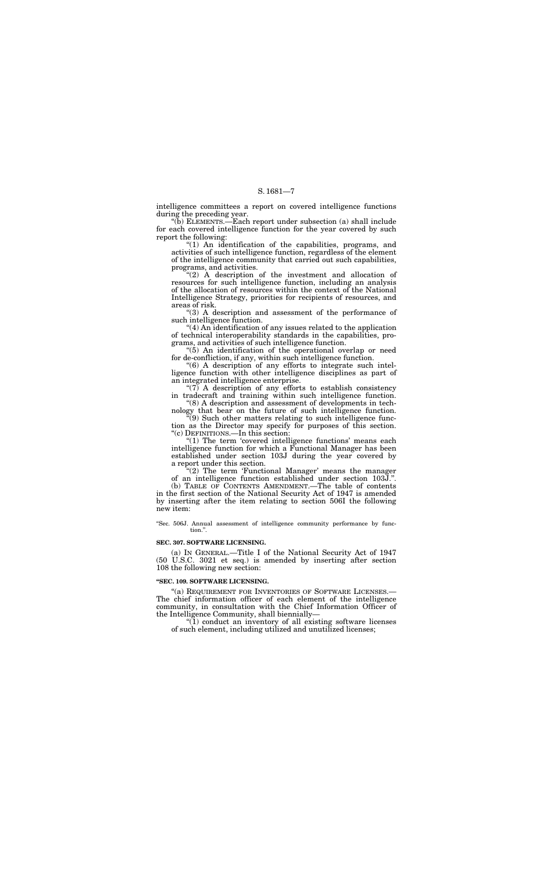intelligence committees a report on covered intelligence functions during the preceding year.

''(b) ELEMENTS.—Each report under subsection (a) shall include for each covered intelligence function for the year covered by such report the following:

''(1) An identification of the capabilities, programs, and activities of such intelligence function, regardless of the element of the intelligence community that carried out such capabilities, programs, and activities.

"(3) A description and assessment of the performance of such intelligence function.

''(2) A description of the investment and allocation of resources for such intelligence function, including an analysis of the allocation of resources within the context of the National Intelligence Strategy, priorities for recipients of resources, and areas of risk.

" $(7)$  A description of any efforts to establish consistency in tradecraft and training within such intelligence function.

 $(9)$  Such other matters relating to such intelligence function as the Director may specify for purposes of this section. ''(c) DEFINITIONS.—In this section:

''(4) An identification of any issues related to the application of technical interoperability standards in the capabilities, programs, and activities of such intelligence function.

"(1) The term 'covered intelligence functions' means each intelligence function for which a Functional Manager has been established under section 103J during the year covered by a report under this section.

"(2) The term 'Functional Manager' means the manager of an intelligence function established under section 103J.''.

''(5) An identification of the operational overlap or need for de-confliction, if any, within such intelligence function.

''Sec. 506J. Annual assessment of intelligence community performance by function."

''(6) A description of any efforts to integrate such intelligence function with other intelligence disciplines as part of an integrated intelligence enterprise.

''(8) A description and assessment of developments in technology that bear on the future of such intelligence function.

(b) TABLE OF CONTENTS AMENDMENT.—The table of contents in the first section of the National Security Act of 1947 is amended by inserting after the item relating to section 506I the following new item:

#### **SEC. 307. SOFTWARE LICENSING.**

(a) IN GENERAL.—Title I of the National Security Act of 1947 (50 U.S.C. 3021 et seq.) is amended by inserting after section 108 the following new section:

### **''SEC. 109. SOFTWARE LICENSING.**

''(a) REQUIREMENT FOR INVENTORIES OF SOFTWARE LICENSES.— The chief information officer of each element of the intelligence community, in consultation with the Chief Information Officer of the Intelligence Community, shall biennially—

''(1) conduct an inventory of all existing software licenses of such element, including utilized and unutilized licenses;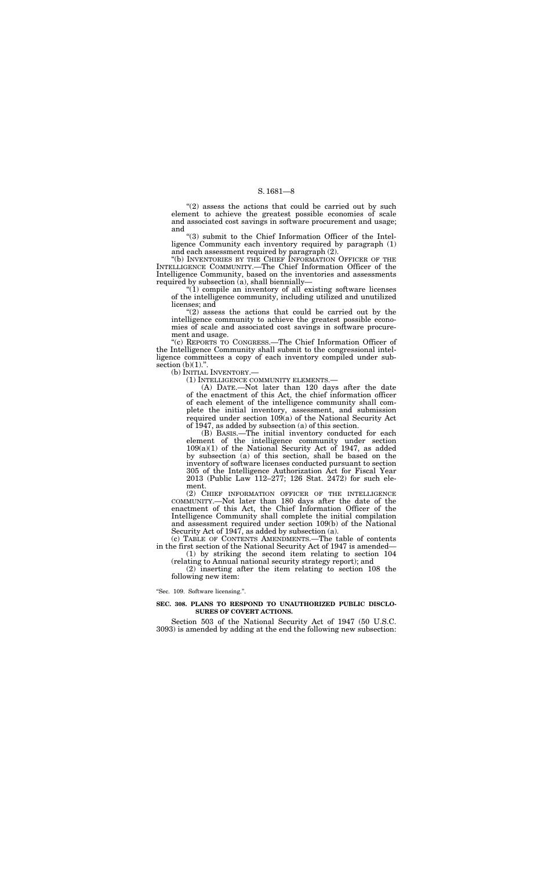$''(2)$  assess the actions that could be carried out by such element to achieve the greatest possible economies of scale and associated cost savings in software procurement and usage; and

''(3) submit to the Chief Information Officer of the Intelligence Community each inventory required by paragraph (1) and each assessment required by paragraph (2).

"(b) INVENTORIES BY THE CHIEF INFORMATION OFFICER OF THE INTELLIGENCE COMMUNITY.—The Chief Information Officer of the Intelligence Community, based on the inventories and assessments required by subsection (a), shall biennially—

"(2) assess the actions that could be carried out by the intelligence community to achieve the greatest possible economies of scale and associated cost savings in software procurement and usage.

''(c) REPORTS TO CONGRESS.—The Chief Information Officer of the Intelligence Community shall submit to the congressional intelligence committees a copy of each inventory compiled under subsection  $(b)(1)$ .".<br>(b) INITIAL INVENTORY.—

''(1) compile an inventory of all existing software licenses of the intelligence community, including utilized and unutilized licenses; and

(1) INTELLIGENCE COMMUNITY ELEMENTS.—<br>(A) DATE.—Not later than 120 days after the date of the enactment of this Act, the chief information officer of each element of the intelligence community shall complete the initial inventory, assessment, and submission required under section 109(a) of the National Security Act of 1947, as added by subsection (a) of this section.

(B) BASIS.—The initial inventory conducted for each element of the intelligence community under section 109(a)(1) of the National Security Act of 1947, as added by subsection (a) of this section, shall be based on the inventory of software licenses conducted pursuant to section 305 of the Intelligence Authorization Act for Fiscal Year 2013 (Public Law 112–277; 126 Stat. 2472) for such element.

(2) CHIEF INFORMATION OFFICER OF THE INTELLIGENCE COMMUNITY.—Not later than 180 days after the date of the enactment of this Act, the Chief Information Officer of the Intelligence Community shall complete the initial compilation and assessment required under section 109(b) of the National Security Act of 1947, as added by subsection (a).

(c) TABLE OF CONTENTS AMENDMENTS.—The table of contents in the first section of the National Security Act of 1947 is amended—

(1) by striking the second item relating to section 104 (relating to Annual national security strategy report); and

(2) inserting after the item relating to section 108 the following new item:

''Sec. 109. Software licensing.''.

#### **SEC. 308. PLANS TO RESPOND TO UNAUTHORIZED PUBLIC DISCLO-SURES OF COVERT ACTIONS.**

Section 503 of the National Security Act of 1947 (50 U.S.C. 3093) is amended by adding at the end the following new subsection: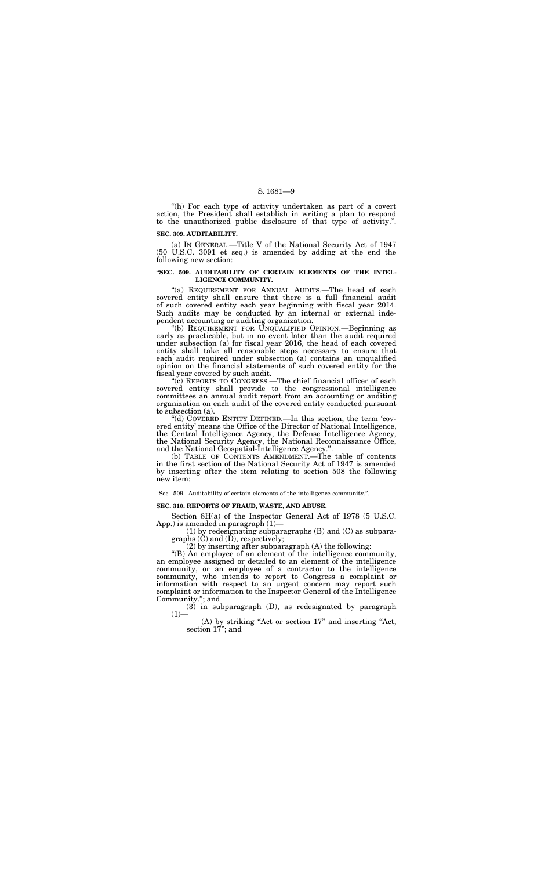"(h) For each type of activity undertaken as part of a covert action, the President shall establish in writing a plan to respond to the unauthorized public disclosure of that type of activity.''.

#### **SEC. 309. AUDITABILITY.**

(a) IN GENERAL.—Title V of the National Security Act of 1947 (50 U.S.C. 3091 et seq.) is amended by adding at the end the following new section:

"(a) REQUIREMENT FOR ANNUAL AUDITS.—The head of each covered entity shall ensure that there is a full financial audit of such covered entity each year beginning with fiscal year 2014. Such audits may be conducted by an internal or external independent accounting or auditing organization.

#### **''SEC. 509. AUDITABILITY OF CERTAIN ELEMENTS OF THE INTEL-LIGENCE COMMUNITY.**

"(c) REPORTS TO CONGRESS.—The chief financial officer of each covered entity shall provide to the congressional intelligence committees an annual audit report from an accounting or auditing organization on each audit of the covered entity conducted pursuant to subsection (a).

''(b) REQUIREMENT FOR UNQUALIFIED OPINION.—Beginning as early as practicable, but in no event later than the audit required under subsection (a) for fiscal year 2016, the head of each covered entity shall take all reasonable steps necessary to ensure that each audit required under subsection (a) contains an unqualified opinion on the financial statements of such covered entity for the fiscal year covered by such audit.

(1) by redesignating subparagraphs (B) and (C) as subparagraphs  $(C)$  and  $(\overline{D})$ , respectively;

(3) in subparagraph (D), as redesignated by paragraph  $(1)$ 

''(d) COVERED ENTITY DEFINED.—In this section, the term 'covered entity' means the Office of the Director of National Intelligence, the Central Intelligence Agency, the Defense Intelligence Agency, the National Security Agency, the National Reconnaissance Office, and the National Geospatial-Intelligence Agency.''.

(b) TABLE OF CONTENTS AMENDMENT.—The table of contents in the first section of the National Security Act of 1947 is amended by inserting after the item relating to section 508 the following new item:

''Sec. 509. Auditability of certain elements of the intelligence community.''.

#### **SEC. 310. REPORTS OF FRAUD, WASTE, AND ABUSE.**

Section 8H(a) of the Inspector General Act of 1978 (5 U.S.C. App.) is amended in paragraph (1)—

(2) by inserting after subparagraph (A) the following:

''(B) An employee of an element of the intelligence community, an employee assigned or detailed to an element of the intelligence community, or an employee of a contractor to the intelligence community, who intends to report to Congress a complaint or information with respect to an urgent concern may report such complaint or information to the Inspector General of the Intelligence Community.''; and

> (A) by striking ''Act or section 17'' and inserting ''Act, section 17''; and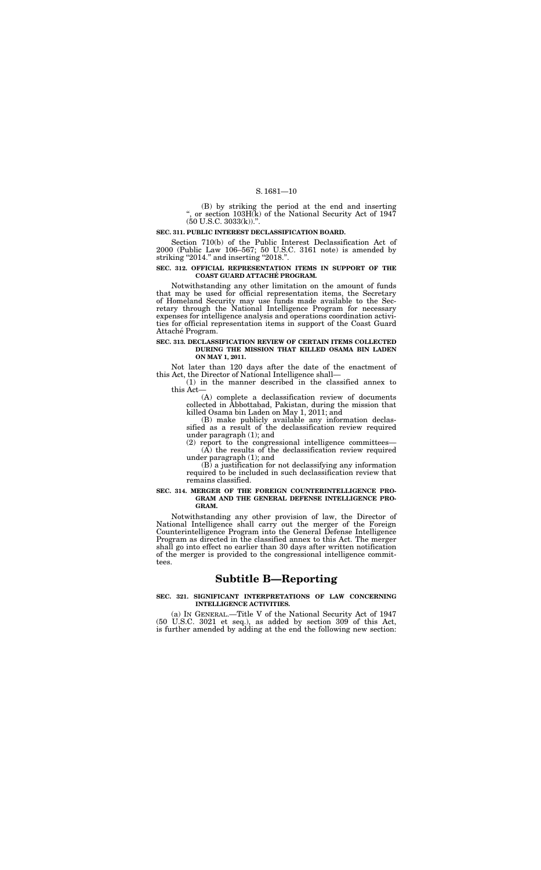(B) by striking the period at the end and inserting '', or section 103H(k) of the National Security Act of 1947  $(50 \text{ U.S.C. } 3033(\text{k})).$ ".

Section 710(b) of the Public Interest Declassification Act of 2000 (Public Law 106–567; 50 U.S.C. 3161 note) is amended by striking "2014." and inserting "2018.".

#### **SEC. 311. PUBLIC INTEREST DECLASSIFICATION BOARD.**

Notwithstanding any other limitation on the amount of funds that may be used for official representation items, the Secretary of Homeland Security may use funds made available to the Secretary through the National Intelligence Program for necessary expenses for intelligence analysis and operations coordination activities for official representation items in support of the Coast Guard Attaché Program.

#### **SEC. 312. OFFICIAL REPRESENTATION ITEMS IN SUPPORT OF THE COAST GUARD ATTACHE´ PROGRAM.**

#### **SEC. 313. DECLASSIFICATION REVIEW OF CERTAIN ITEMS COLLECTED DURING THE MISSION THAT KILLED OSAMA BIN LADEN ON MAY 1, 2011.**

Not later than 120 days after the date of the enactment of this Act, the Director of National Intelligence shall—

(1) in the manner described in the classified annex to this Act—

(A) complete a declassification review of documents collected in Abbottabad, Pakistan, during the mission that killed Osama bin Laden on May 1, 2011; and

(B) make publicly available any information declassified as a result of the declassification review required under paragraph (1); and

(2) report to the congressional intelligence committees— (A) the results of the declassification review required under paragraph (1); and

(B) a justification for not declassifying any information required to be included in such declassification review that remains classified.

#### **SEC. 314. MERGER OF THE FOREIGN COUNTERINTELLIGENCE PRO-GRAM AND THE GENERAL DEFENSE INTELLIGENCE PRO-GRAM.**

Notwithstanding any other provision of law, the Director of National Intelligence shall carry out the merger of the Foreign Counterintelligence Program into the General Defense Intelligence Program as directed in the classified annex to this Act. The merger shall go into effect no earlier than 30 days after written notification of the merger is provided to the congressional intelligence committees.

## **Subtitle B—Reporting**

#### **SEC. 321. SIGNIFICANT INTERPRETATIONS OF LAW CONCERNING INTELLIGENCE ACTIVITIES.**

(a) IN GENERAL.—Title V of the National Security Act of 1947 (50 U.S.C. 3021 et seq.), as added by section 309 of this Act, is further amended by adding at the end the following new section: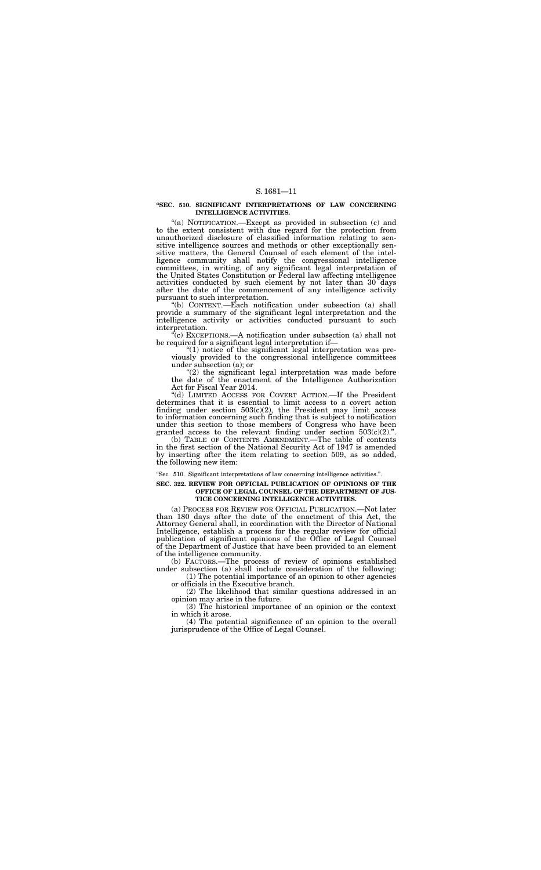#### **''SEC. 510. SIGNIFICANT INTERPRETATIONS OF LAW CONCERNING INTELLIGENCE ACTIVITIES.**

"(a) NOTIFICATION.—Except as provided in subsection (c) and to the extent consistent with due regard for the protection from unauthorized disclosure of classified information relating to sensitive intelligence sources and methods or other exceptionally sensitive matters, the General Counsel of each element of the intelligence community shall notify the congressional intelligence committees, in writing, of any significant legal interpretation of the United States Constitution or Federal law affecting intelligence activities conducted by such element by not later than 30 days after the date of the commencement of any intelligence activity pursuant to such interpretation.

" $(1)$  notice of the significant legal interpretation was previously provided to the congressional intelligence committees under subsection (a); or

"(2) the significant legal interpretation was made before the date of the enactment of the Intelligence Authorization Act for Fiscal Year 2014.

''(d) LIMITED ACCESS FOR COVERT ACTION.—If the President determines that it is essential to limit access to a covert action finding under section  $503(c)(2)$ , the President may limit access to information concerning such finding that is subject to notification under this section to those members of Congress who have been granted access to the relevant finding under section  $503(c)(2)$ .".

''(b) CONTENT.—Each notification under subsection (a) shall provide a summary of the significant legal interpretation and the intelligence activity or activities conducted pursuant to such interpretation.

''(c) EXCEPTIONS.—A notification under subsection (a) shall not be required for a significant legal interpretation if—

(b) TABLE OF CONTENTS AMENDMENT.—The table of contents in the first section of the National Security Act of 1947 is amended by inserting after the item relating to section 509, as so added, the following new item:

''Sec. 510. Significant interpretations of law concerning intelligence activities.''.

#### **SEC. 322. REVIEW FOR OFFICIAL PUBLICATION OF OPINIONS OF THE OFFICE OF LEGAL COUNSEL OF THE DEPARTMENT OF JUS-TICE CONCERNING INTELLIGENCE ACTIVITIES.**

(a) PROCESS FOR REVIEW FOR OFFICIAL PUBLICATION.—Not later than 180 days after the date of the enactment of this Act, the Attorney General shall, in coordination with the Director of National Intelligence, establish a process for the regular review for official publication of significant opinions of the Office of Legal Counsel of the Department of Justice that have been provided to an element of the intelligence community.

(b) FACTORS.—The process of review of opinions established under subsection (a) shall include consideration of the following:

(1) The potential importance of an opinion to other agencies or officials in the Executive branch.

(2) The likelihood that similar questions addressed in an opinion may arise in the future.

(3) The historical importance of an opinion or the context in which it arose.

(4) The potential significance of an opinion to the overall jurisprudence of the Office of Legal Counsel.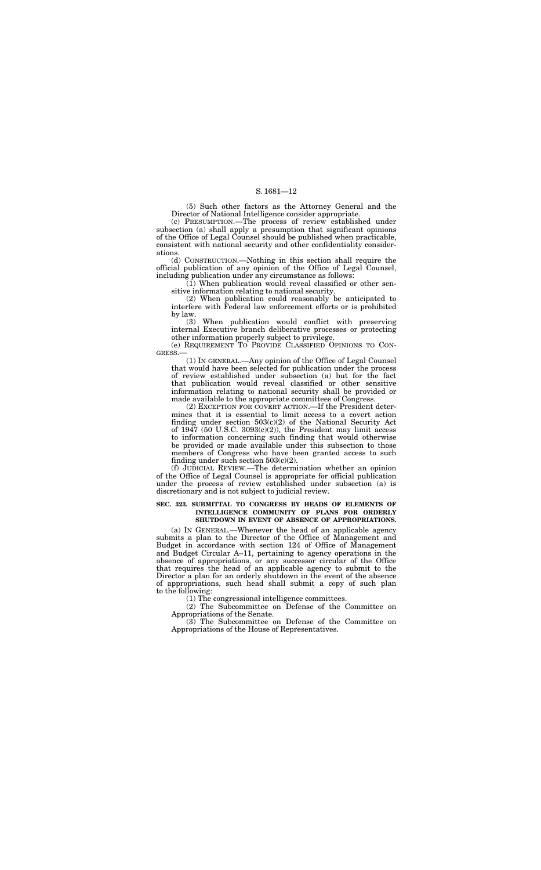(5) Such other factors as the Attorney General and the Director of National Intelligence consider appropriate.

(c) PRESUMPTION.—The process of review established under subsection (a) shall apply a presumption that significant opinions of the Office of Legal Counsel should be published when practicable, consistent with national security and other confidentiality considerations.

 $(1)$  When publication would reveal classified or other sensitive information relating to national security.

(2) When publication could reasonably be anticipated to interfere with Federal law enforcement efforts or is prohibited by law.<br>(3)

(d) CONSTRUCTION.—Nothing in this section shall require the official publication of any opinion of the Office of Legal Counsel, including publication under any circumstance as follows:

When publication would conflict with preserving internal Executive branch deliberative processes or protecting other information properly subject to privilege.

(e) REQUIREMENT TO PROVIDE CLASSIFIED OPINIONS TO CON-GRESS.—

(1) IN GENERAL.—Any opinion of the Office of Legal Counsel that would have been selected for publication under the process of review established under subsection (a) but for the fact that publication would reveal classified or other sensitive information relating to national security shall be provided or made available to the appropriate committees of Congress.

(2) EXCEPTION FOR COVERT ACTION.—If the President determines that it is essential to limit access to a covert action finding under section 503(c)(2) of the National Security Act of  $1947$  (50 U.S.C.  $3093(c)(2)$ ), the President may limit access to information concerning such finding that would otherwise be provided or made available under this subsection to those members of Congress who have been granted access to such finding under such section 503(c)(2).

(f) JUDICIAL REVIEW.—The determination whether an opinion of the Office of Legal Counsel is appropriate for official publication under the process of review established under subsection (a) is discretionary and is not subject to judicial review.

#### **SEC. 323. SUBMITTAL TO CONGRESS BY HEADS OF ELEMENTS OF INTELLIGENCE COMMUNITY OF PLANS FOR ORDERLY SHUTDOWN IN EVENT OF ABSENCE OF APPROPRIATIONS.**

(a) IN GENERAL.—Whenever the head of an applicable agency submits a plan to the Director of the Office of Management and Budget in accordance with section 124 of Office of Management and Budget Circular A–11, pertaining to agency operations in the absence of appropriations, or any successor circular of the Office that requires the head of an applicable agency to submit to the Director a plan for an orderly shutdown in the event of the absence of appropriations, such head shall submit a copy of such plan to the following:

(1) The congressional intelligence committees.

(2) The Subcommittee on Defense of the Committee on Appropriations of the Senate.

(3) The Subcommittee on Defense of the Committee on Appropriations of the House of Representatives.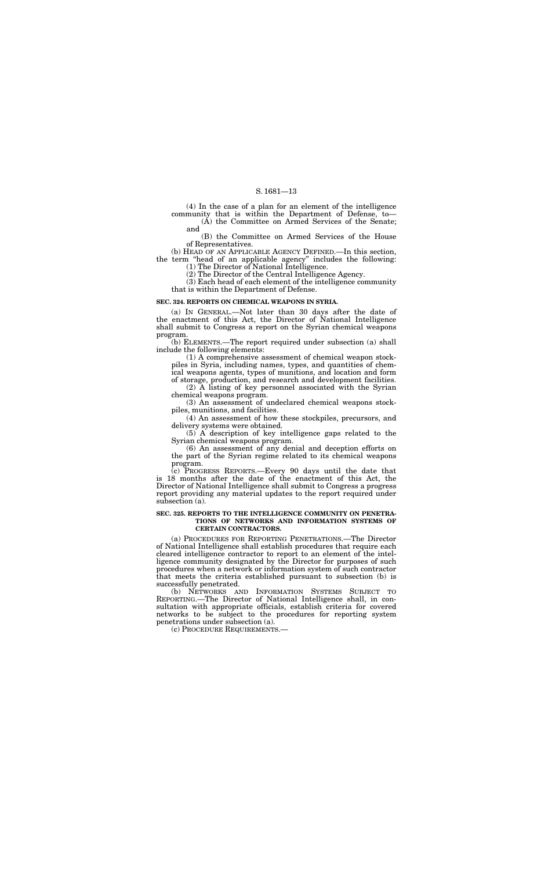(4) In the case of a plan for an element of the intelligence community that is within the Department of Defense, to—

(A) the Committee on Armed Services of the Senate; and

(B) the Committee on Armed Services of the House of Representatives.

(b) HEAD OF AN APPLICABLE AGENCY DEFINED.—In this section, the term ''head of an applicable agency'' includes the following:

(1) The Director of National Intelligence.

(2) The Director of the Central Intelligence Agency.

(3) Each head of each element of the intelligence community that is within the Department of Defense.

#### **SEC. 324. REPORTS ON CHEMICAL WEAPONS IN SYRIA.**

(a) IN GENERAL.—Not later than 30 days after the date of the enactment of this Act, the Director of National Intelligence shall submit to Congress a report on the Syrian chemical weapons program.

(b) ELEMENTS.—The report required under subsection (a) shall include the following elements:

(1) A comprehensive assessment of chemical weapon stockpiles in Syria, including names, types, and quantities of chemical weapons agents, types of munitions, and location and form of storage, production, and research and development facilities.

(2) A listing of key personnel associated with the Syrian chemical weapons program.

(3) An assessment of undeclared chemical weapons stockpiles, munitions, and facilities.

(4) An assessment of how these stockpiles, precursors, and delivery systems were obtained.

(5) A description of key intelligence gaps related to the Syrian chemical weapons program.

(6) An assessment of any denial and deception efforts on the part of the Syrian regime related to its chemical weapons program.

(c) PROGRESS REPORTS.—Every 90 days until the date that is 18 months after the date of the enactment of this Act, the Director of National Intelligence shall submit to Congress a progress report providing any material updates to the report required under subsection (a).

#### **SEC. 325. REPORTS TO THE INTELLIGENCE COMMUNITY ON PENETRA-TIONS OF NETWORKS AND INFORMATION SYSTEMS OF CERTAIN CONTRACTORS.**

(a) PROCEDURES FOR REPORTING PENETRATIONS.—The Director of National Intelligence shall establish procedures that require each cleared intelligence contractor to report to an element of the intelligence community designated by the Director for purposes of such procedures when a network or information system of such contractor that meets the criteria established pursuant to subsection (b) is successfully penetrated.

(b) NETWORKS AND INFORMATION SYSTEMS SUBJECT TO REPORTING.—The Director of National Intelligence shall, in consultation with appropriate officials, establish criteria for covered networks to be subject to the procedures for reporting system penetrations under subsection (a).

(c) PROCEDURE REQUIREMENTS.—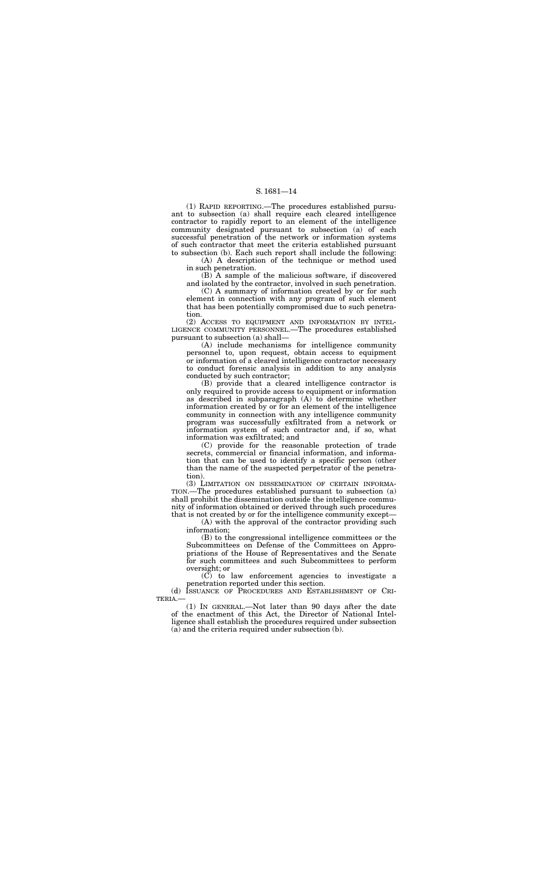(1) RAPID REPORTING.—The procedures established pursuant to subsection (a) shall require each cleared intelligence contractor to rapidly report to an element of the intelligence community designated pursuant to subsection (a) of each successful penetration of the network or information systems of such contractor that meet the criteria established pursuant to subsection (b). Each such report shall include the following:

(A) A description of the technique or method used in such penetration.

(B) A sample of the malicious software, if discovered and isolated by the contractor, involved in such penetration.

(C) A summary of information created by or for such element in connection with any program of such element that has been potentially compromised due to such penetration.

(2) ACCESS TO EQUIPMENT AND INFORMATION BY INTEL-LIGENCE COMMUNITY PERSONNEL.—The procedures established pursuant to subsection (a) shall—

(A) include mechanisms for intelligence community personnel to, upon request, obtain access to equipment or information of a cleared intelligence contractor necessary to conduct forensic analysis in addition to any analysis conducted by such contractor;

(B) provide that a cleared intelligence contractor is only required to provide access to equipment or information as described in subparagraph (A) to determine whether information created by or for an element of the intelligence community in connection with any intelligence community program was successfully exfiltrated from a network or information system of such contractor and, if so, what information was exfiltrated; and

(C) provide for the reasonable protection of trade secrets, commercial or financial information, and information that can be used to identify a specific person (other than the name of the suspected perpetrator of the penetration).

(3) LIMITATION ON DISSEMINATION OF CERTAIN INFORMA-TION.—The procedures established pursuant to subsection (a) shall prohibit the dissemination outside the intelligence community of information obtained or derived through such procedures that is not created by or for the intelligence community except—

(A) with the approval of the contractor providing such information;

(B) to the congressional intelligence committees or the Subcommittees on Defense of the Committees on Appropriations of the House of Representatives and the Senate for such committees and such Subcommittees to perform oversight; or

(C) to law enforcement agencies to investigate a penetration reported under this section.

(d) ISSUANCE OF PROCEDURES AND ESTABLISHMENT OF CRI-TERIA.—

(1) IN GENERAL.—Not later than 90 days after the date of the enactment of this Act, the Director of National Intelligence shall establish the procedures required under subsection (a) and the criteria required under subsection (b).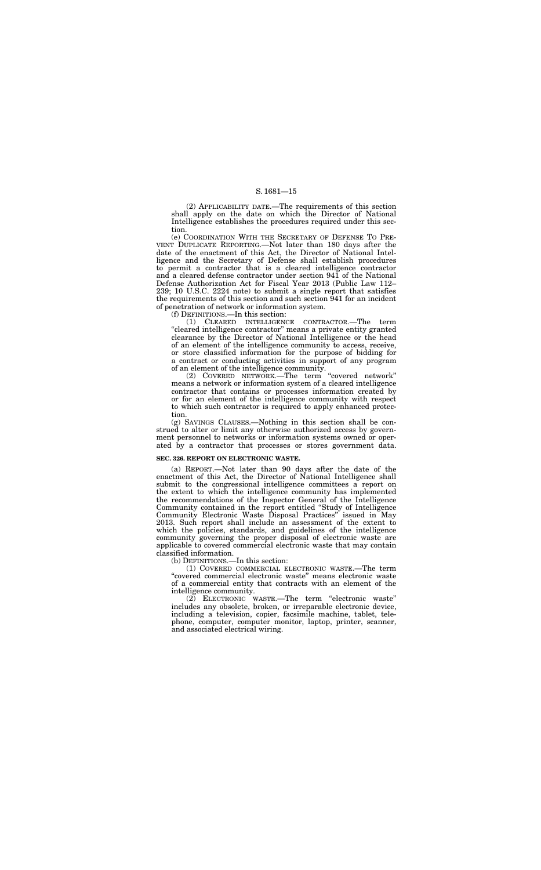(2) APPLICABILITY DATE.—The requirements of this section shall apply on the date on which the Director of National Intelligence establishes the procedures required under this section.

(e) COORDINATION WITH THE SECRETARY OF DEFENSE TO PRE-VENT DUPLICATE REPORTING.—Not later than 180 days after the date of the enactment of this Act, the Director of National Intelligence and the Secretary of Defense shall establish procedures to permit a contractor that is a cleared intelligence contractor and a cleared defense contractor under section 941 of the National Defense Authorization Act for Fiscal Year 2013 (Public Law 112– 239; 10 U.S.C. 2224 note) to submit a single report that satisfies the requirements of this section and such section 941 for an incident of penetration of network or information system.

(f) DEFINITIONS.—In this section:

(1) CLEARED INTELLIGENCE CONTRACTOR.—The term "cleared intelligence contractor" means a private entity granted clearance by the Director of National Intelligence or the head of an element of the intelligence community to access, receive, or store classified information for the purpose of bidding for a contract or conducting activities in support of any program of an element of the intelligence community.

(2) COVERED NETWORK.—The term ''covered network'' means a network or information system of a cleared intelligence contractor that contains or processes information created by or for an element of the intelligence community with respect to which such contractor is required to apply enhanced protection.

(g) SAVINGS CLAUSES.—Nothing in this section shall be construed to alter or limit any otherwise authorized access by government personnel to networks or information systems owned or operated by a contractor that processes or stores government data.

#### **SEC. 326. REPORT ON ELECTRONIC WASTE.**

(a) REPORT.—Not later than 90 days after the date of the enactment of this Act, the Director of National Intelligence shall submit to the congressional intelligence committees a report on the extent to which the intelligence community has implemented the recommendations of the Inspector General of the Intelligence Community contained in the report entitled ''Study of Intelligence Community Electronic Waste Disposal Practices'' issued in May 2013. Such report shall include an assessment of the extent to which the policies, standards, and guidelines of the intelligence community governing the proper disposal of electronic waste are applicable to covered commercial electronic waste that may contain classified information.

(b) DEFINITIONS.—In this section:

(1) COVERED COMMERCIAL ELECTRONIC WASTE.—The term "covered commercial electronic waste" means electronic waste of a commercial entity that contracts with an element of the intelligence community.

(2) ELECTRONIC WASTE.—The term ''electronic waste'' includes any obsolete, broken, or irreparable electronic device, including a television, copier, facsimile machine, tablet, telephone, computer, computer monitor, laptop, printer, scanner, and associated electrical wiring.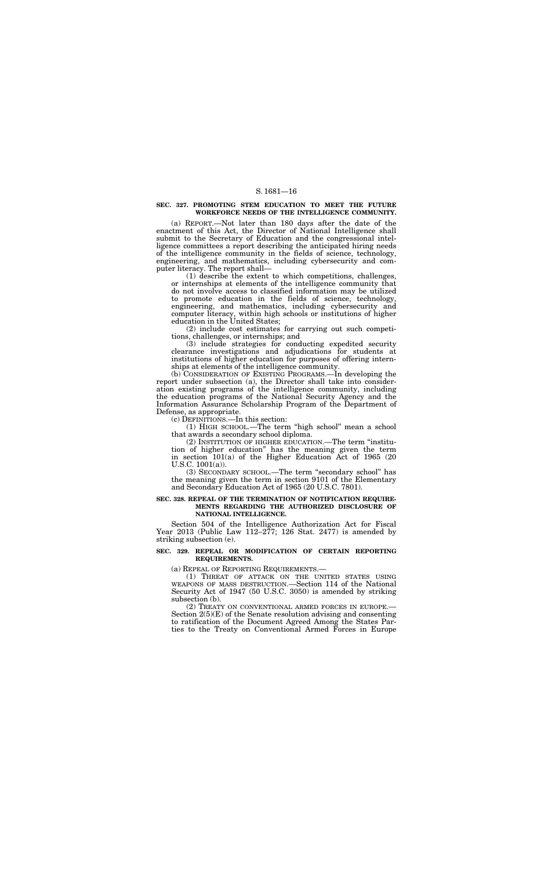#### **SEC. 327. PROMOTING STEM EDUCATION TO MEET THE FUTURE WORKFORCE NEEDS OF THE INTELLIGENCE COMMUNITY.**

(a) REPORT.—Not later than 180 days after the date of the enactment of this Act, the Director of National Intelligence shall submit to the Secretary of Education and the congressional intelligence committees a report describing the anticipated hiring needs of the intelligence community in the fields of science, technology, engineering, and mathematics, including cybersecurity and computer literacy. The report shall—

(1) describe the extent to which competitions, challenges, or internships at elements of the intelligence community that do not involve access to classified information may be utilized to promote education in the fields of science, technology, engineering, and mathematics, including cybersecurity and computer literacy, within high schools or institutions of higher education in the United States;

(2) include cost estimates for carrying out such competitions, challenges, or internships; and

(3) include strategies for conducting expedited security clearance investigations and adjudications for students at institutions of higher education for purposes of offering internships at elements of the intelligence community.

(a) REPEAL OF REPORTING REQUIREMENTS.— (1) THREAT OF ATTACK ON THE UNITED STATES USING WEAPONS OF MASS DESTRUCTION.—Section 114 of the National Security Act of 1947 (50 U.S.C. 3050) is amended by striking subsection (b).<br>(2) TREATY ON CONVENTIONAL ARMED FORCES IN EUROPE.-

(b) CONSIDERATION OF EXISTING PROGRAMS.—In developing the report under subsection (a), the Director shall take into consideration existing programs of the intelligence community, including the education programs of the National Security Agency and the Information Assurance Scholarship Program of the Department of Defense, as appropriate.

Section  $2(5)(E)$  of the Senate resolution advising and consenting to ratification of the Document Agreed Among the States Parties to the Treaty on Conventional Armed Forces in Europe

(c) DEFINITIONS.—In this section:

(1) HIGH SCHOOL.—The term ''high school'' mean a school that awards a secondary school diploma.

(2) INSTITUTION OF HIGHER EDUCATION.—The term ''institution of higher education'' has the meaning given the term in section 101(a) of the Higher Education Act of 1965 (20 U.S.C. 1001(a)).

(3) SECONDARY SCHOOL.—The term ''secondary school'' has the meaning given the term in section 9101 of the Elementary and Secondary Education Act of 1965 (20 U.S.C. 7801).

#### **SEC. 328. REPEAL OF THE TERMINATION OF NOTIFICATION REQUIRE-MENTS REGARDING THE AUTHORIZED DISCLOSURE OF NATIONAL INTELLIGENCE.**

Section 504 of the Intelligence Authorization Act for Fiscal Year 2013 (Public Law 112–277; 126 Stat. 2477) is amended by striking subsection (e).

#### **SEC. 329. REPEAL OR MODIFICATION OF CERTAIN REPORTING REQUIREMENTS.**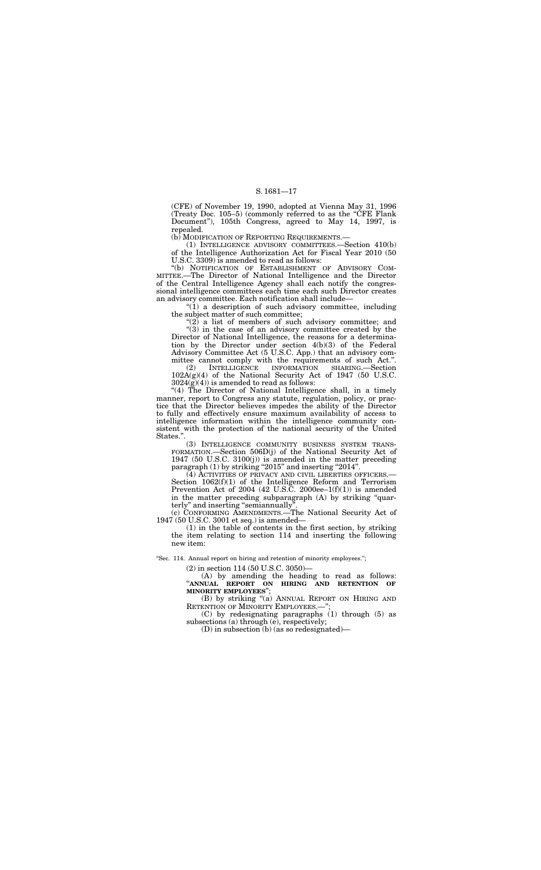(CFE) of November 19, 1990, adopted at Vienna May 31, 1996 (Treaty Doc. 105–5) (commonly referred to as the "CFE Flank Document''), 105th Congress, agreed to May 14, 1997, is repealed.

(b) MODIFICATION OF REPORTING REQUIREMENTS.—

(1) INTELLIGENCE ADVISORY COMMITTEES.—Section 410(b) of the Intelligence Authorization Act for Fiscal Year 2010 (50 U.S.C. 3309) is amended to read as follows:

"(b) NOTIFICATION OF ESTABLISHMENT OF ADVISORY COM-MITTEE.—The Director of National Intelligence and the Director of the Central Intelligence Agency shall each notify the congressional intelligence committees each time each such Director creates an advisory committee. Each notification shall include—

 $''(1)$  a description of such advisory committee, including the subject matter of such committee;

" $(2)$  a list of members of such advisory committee; and  $(3)$  in the case of an advisory committee created by the Director of National Intelligence, the reasons for a determination by the Director under section 4(b)(3) of the Federal Advisory Committee Act (5 U.S.C. App.) that an advisory committee cannot comply with the requirements of such Act.''.

(2) INTELLIGENCE INFORMATION SHARING.—Section 102A(g)(4) of the National Security Act of 1947 (50 U.S.C.  $3024(\tilde{g})(4)$ ) is amended to read as follows:

"(4) The Director of National Intelligence shall, in a timely manner, report to Congress any statute, regulation, policy, or practice that the Director believes impedes the ability of the Director to fully and effectively ensure maximum availability of access to intelligence information within the intelligence community consistent with the protection of the national security of the United States."

(3) INTELLIGENCE COMMUNITY BUSINESS SYSTEM TRANS-FORMATION.—Section 506D(j) of the National Security Act of 1947 (50 U.S.C. 3100(j)) is amended in the matter preceding paragraph (1) by striking "2015" and inserting "2014".

(4) ACTIVITIES OF PRIVACY AND CIVIL LIBERTIES OFFICERS.— Section 1062(f)(1) of the Intelligence Reform and Terrorism Prevention Act of 2004 (42 U.S.C. 2000ee– $1(f)(1)$ ) is amended in the matter preceding subparagraph (A) by striking ''quarterly" and inserting "semiannually"

(C) by redesignating paragraphs (1) through (5) as subsections (a) through (e), respectively;

(c) CONFORMING AMENDMENTS.—The National Security Act of 1947 (50 U.S.C. 3001 et seq.) is amended—

(1) in the table of contents in the first section, by striking the item relating to section 114 and inserting the following new item:

"Sec. 114. Annual report on hiring and retention of minority employees.";

(2) in section 114 (50 U.S.C. 3050)—

(A) by amending the heading to read as follows: ''**ANNUAL REPORT ON HIRING AND RETENTION OF MINORITY EMPLOYEES**'';

(B) by striking "(a) ANNUAL REPORT ON HIRING AND RETENTION OF MINORITY EMPLOYEES.-

(D) in subsection (b) (as so redesignated)—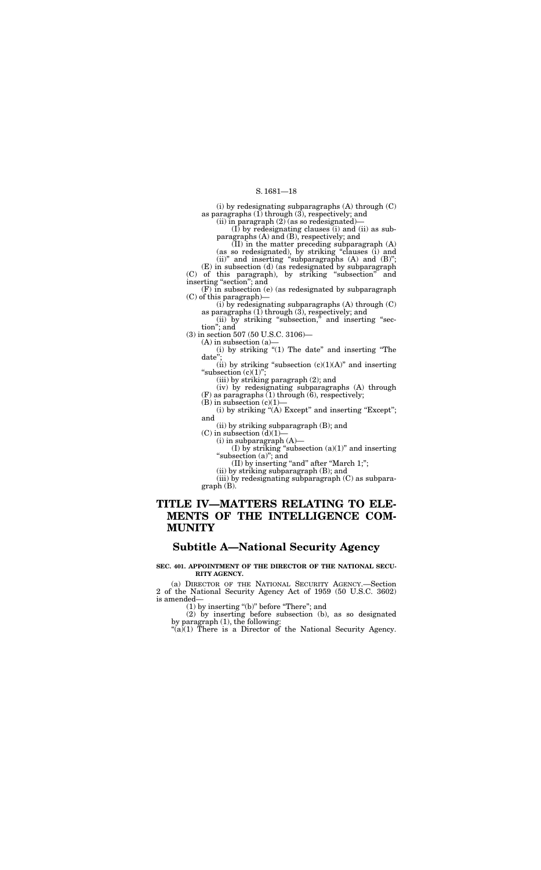(i) by redesignating subparagraphs (A) through (C) as paragraphs  $(1)$  through  $(3)$ , respectively; and

(ii) in paragraph  $(2)$  (as so redesignated)-

(E) in subsection (d) (as redesignated by subparagraph (C) of this paragraph), by striking ''subsection'' and inserting "section"; and

(I) by redesignating clauses (i) and (ii) as subparagraphs (A) and (B), respectively; and

(II) in the matter preceding subparagraph (A) (as so redesignated), by striking ''clauses (i) and

(ii)" and inserting "subparagraphs  $(A)$  and  $(B)$ ";

(ii) by striking "subsection," and inserting "section''; and

(i) by striking "(1) The date" and inserting "The date'';

(ii) by striking "subsection  $(c)(1)(A)$ " and inserting "subsection  $(c)(1)$ ";

(iv) by redesignating subparagraphs (A) through  $(F)$  as paragraphs  $(1)$  through  $(6)$ , respectively;

 $(B)$  in subsection  $(c)(1)$ –

(F) in subsection (e) (as redesignated by subparagraph (C) of this paragraph)—

(i) by striking " $(A)$  Except" and inserting "Except"; and

(i) by redesignating subparagraphs (A) through (C) as paragraphs (1) through (3), respectively; and

(3) in section 507 (50 U.S.C. 3106)—

 $(A)$  in subsection  $(a)$ 

(iii) by striking paragraph (2); and

(ii) by striking subparagraph (B); and

(C) in subsection  $\ddot{d}(1)$ –

(i) in subparagraph (A)—

(I) by striking "subsection  $(a)(1)$ " and inserting "subsection (a)"; and

(II) by inserting "and" after "March 1;";

(ii) by striking subparagraph (B); and

(iii) by redesignating subparagraph (C) as subparagraph (B).

## **TITLE IV—MATTERS RELATING TO ELE-MENTS OF THE INTELLIGENCE COM-MUNITY**

## **Subtitle A—National Security Agency**

**SEC. 401. APPOINTMENT OF THE DIRECTOR OF THE NATIONAL SECU-RITY AGENCY.** 

(a) DIRECTOR OF THE NATIONAL SECURITY AGENCY.—Section 2 of the National Security Agency Act of 1959 (50 U.S.C. 3602) is amended—

(1) by inserting ''(b)'' before ''There''; and

(2) by inserting before subsection (b), as so designated by paragraph (1), the following:

 $\mathcal{L}(\mathbf{a})$  There is a Director of the National Security Agency.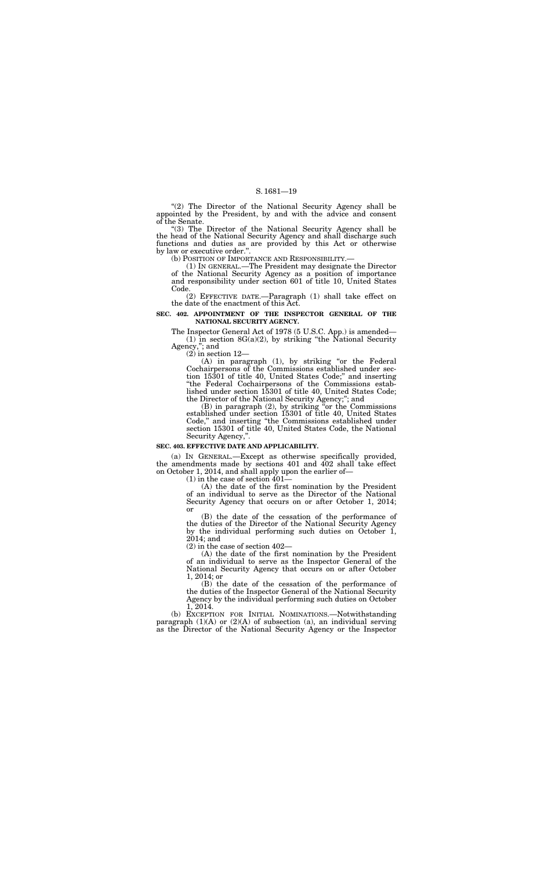''(2) The Director of the National Security Agency shall be appointed by the President, by and with the advice and consent of the Senate.

"(3) The Director of the National Security Agency shall be the head of the National Security Agency and shall discharge such functions and duties as are provided by this Act or otherwise by law or executive order.".<br>(b) POSITION OF IMPORTANCE AND RESPONSIBILITY.—

(1) IN GENERAL.—The President may designate the Director of the National Security Agency as a position of importance and responsibility under section 601 of title 10, United States Code.

(A) in paragraph (1), by striking "or the Federal Cochairpersons of the Commissions established under section 15301 of title 40, United States Code;'' and inserting ''the Federal Cochairpersons of the Commissions established under section 15301 of title 40, United States Code; the Director of the National Security Agency;''; and

(2) EFFECTIVE DATE.—Paragraph (1) shall take effect on the date of the enactment of this Act.

#### **SEC. 402. APPOINTMENT OF THE INSPECTOR GENERAL OF THE NATIONAL SECURITY AGENCY.**

 $(B)$  in paragraph  $(2)$ , by striking "or the Commissions" established under section 15301 of title 40, United States Code,'' and inserting ''the Commissions established under section 15301 of title 40, United States Code, the National Security Agency,''.

The Inspector General Act of 1978 (5 U.S.C. App.) is amended—  $(1)$  in section 8G(a)(2), by striking "the National Security Agency,''; and

 $(2)$  in section  $12-$ 

#### **SEC. 403. EFFECTIVE DATE AND APPLICABILITY.**

(a) IN GENERAL.—Except as otherwise specifically provided, the amendments made by sections 401 and 402 shall take effect on October 1, 2014, and shall apply upon the earlier of—

(1) in the case of section 401—

(A) the date of the first nomination by the President of an individual to serve as the Director of the National Security Agency that occurs on or after October 1, 2014; or

(B) the date of the cessation of the performance of the duties of the Director of the National Security Agency by the individual performing such duties on October 1, 2014; and

(2) in the case of section 402—

(A) the date of the first nomination by the President of an individual to serve as the Inspector General of the National Security Agency that occurs on or after October 1, 2014; or

(B) the date of the cessation of the performance of the duties of the Inspector General of the National Security Agency by the individual performing such duties on October 1, 2014.

(b) EXCEPTION FOR INITIAL NOMINATIONS.—Notwithstanding paragraph  $(1)(A)$  or  $(2)(A)$  of subsection (a), an individual serving as the Director of the National Security Agency or the Inspector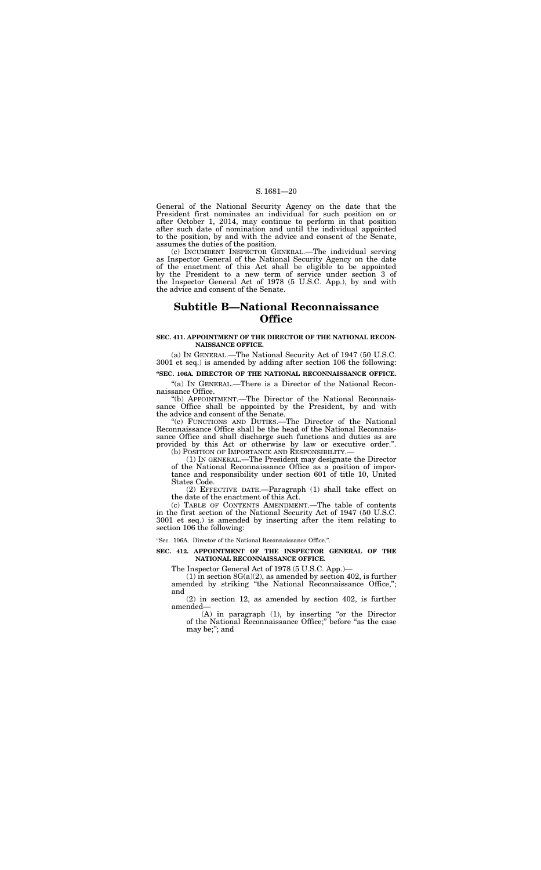General of the National Security Agency on the date that the President first nominates an individual for such position on or after October 1, 2014, may continue to perform in that position after such date of nomination and until the individual appointed to the position, by and with the advice and consent of the Senate, assumes the duties of the position.

(c) INCUMBENT INSPECTOR GENERAL.—The individual serving as Inspector General of the National Security Agency on the date of the enactment of this Act shall be eligible to be appointed by the President to a new term of service under section 3 of the Inspector General Act of 1978 (5 U.S.C. App.), by and with the advice and consent of the Senate.

"(a) IN GENERAL.—There is a Director of the National Reconnaissance Office.

## **Subtitle B—National Reconnaissance Office**

#### **SEC. 411. APPOINTMENT OF THE DIRECTOR OF THE NATIONAL RECON-NAISSANCE OFFICE.**

(b) POSITION OF IMPORTANCE AND RESPONSIBILITY. (1) IN GENERAL.—The President may designate the Director of the National Reconnaissance Office as a position of impor-

(a) IN GENERAL.—The National Security Act of 1947 (50 U.S.C. 3001 et seq.) is amended by adding after section 106 the following:

(c) TABLE OF CONTENTS AMENDMENT.—The table of contents in the first section of the National Security Act of 1947 (50 U.S.C. 3001 et seq.) is amended by inserting after the item relating to section 106 the following:

#### **''SEC. 106A. DIRECTOR OF THE NATIONAL RECONNAISSANCE OFFICE.**

''(b) APPOINTMENT.—The Director of the National Reconnaissance Office shall be appointed by the President, by and with the advice and consent of the Senate.

> $(A)$  in paragraph  $(1)$ , by inserting "or the Director of the National Reconnaissance Office;" before "as the case may be;''; and

''(c) FUNCTIONS AND DUTIES.—The Director of the National Reconnaissance Office shall be the head of the National Reconnaissance Office and shall discharge such functions and duties as are provided by this Act or otherwise by law or executive order.''.

tance and responsibility under section 601 of title 10, United States Code.

(2) EFFECTIVE DATE.—Paragraph (1) shall take effect on the date of the enactment of this Act.

''Sec. 106A. Director of the National Reconnaissance Office.''.

#### **SEC. 412. APPOINTMENT OF THE INSPECTOR GENERAL OF THE NATIONAL RECONNAISSANCE OFFICE.**

The Inspector General Act of 1978 (5 U.S.C. App.)—

(1) in section 8G(a)(2), as amended by section 402, is further amended by striking ''the National Reconnaissance Office,''; and

(2) in section 12, as amended by section 402, is further amended—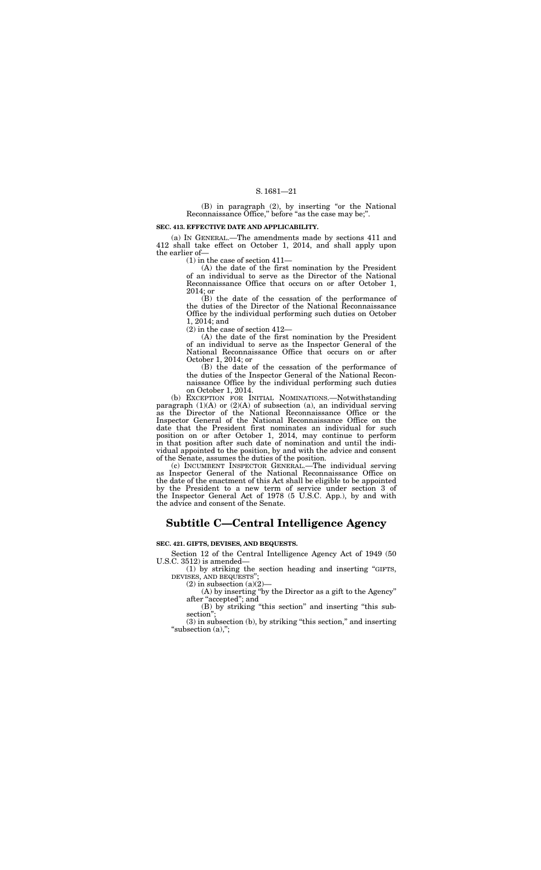(B) in paragraph (2), by inserting "or the National Reconnaissance Office," before "as the case may be;".

#### **SEC. 413. EFFECTIVE DATE AND APPLICABILITY.**

(a) IN GENERAL.—The amendments made by sections 411 and 412 shall take effect on October 1, 2014, and shall apply upon the earlier of—

(1) in the case of section 411—

(A) the date of the first nomination by the President of an individual to serve as the Director of the National Reconnaissance Office that occurs on or after October 1, 2014; or

(B) the date of the cessation of the performance of the duties of the Director of the National Reconnaissance Office by the individual performing such duties on October 1, 2014; and

(2) in the case of section 412—

(A) the date of the first nomination by the President of an individual to serve as the Inspector General of the National Reconnaissance Office that occurs on or after October 1, 2014; or

(B) the date of the cessation of the performance of the duties of the Inspector General of the National Reconnaissance Office by the individual performing such duties on October 1, 2014.

(1) by striking the section heading and inserting ''GIFTS, DEVISES, AND BEQUESTS"

 $(2)$  in subsection  $(a)(2)$ 

(A) by inserting ''by the Director as a gift to the Agency'' after "accepted"; and

(3) in subsection (b), by striking ''this section,'' and inserting "subsection  $(a)$ ,";

(b) EXCEPTION FOR INITIAL NOMINATIONS.—Notwithstanding paragraph (1)(A) or (2)(A) of subsection (a), an individual serving as the Director of the National Reconnaissance Office or the Inspector General of the National Reconnaissance Office on the date that the President first nominates an individual for such position on or after October 1, 2014, may continue to perform in that position after such date of nomination and until the individual appointed to the position, by and with the advice and consent of the Senate, assumes the duties of the position.

(c) INCUMBENT INSPECTOR GENERAL.—The individual serving as Inspector General of the National Reconnaissance Office on the date of the enactment of this Act shall be eligible to be appointed by the President to a new term of service under section 3 of the Inspector General Act of 1978 (5 U.S.C. App.), by and with the advice and consent of the Senate.

## **Subtitle C—Central Intelligence Agency**

#### **SEC. 421. GIFTS, DEVISES, AND BEQUESTS.**

Section 12 of the Central Intelligence Agency Act of 1949 (50 U.S.C. 3512) is amended—

> (B) by striking ''this section'' and inserting ''this subsection'';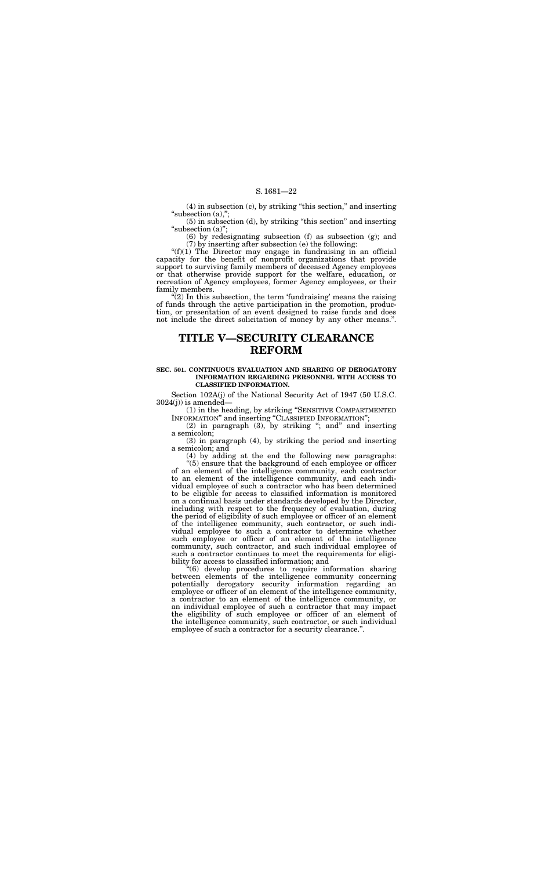(4) in subsection (c), by striking ''this section,'' and inserting "subsection (a),";

(5) in subsection (d), by striking ''this section'' and inserting "subsection (a)";

(6) by redesignating subsection (f) as subsection (g); and (7) by inserting after subsection (e) the following:

" $(f)(1)$  The Director may engage in fundraising in an official capacity for the benefit of nonprofit organizations that provide support to surviving family members of deceased Agency employees or that otherwise provide support for the welfare, education, or recreation of Agency employees, former Agency employees, or their family members.

 $\tilde{C}(2)$  In this subsection, the term 'fundraising' means the raising of funds through the active participation in the promotion, production, or presentation of an event designed to raise funds and does not include the direct solicitation of money by any other means.''.

Section 102A(j) of the National Security Act of 1947 (50 U.S.C.  $3024(j)$ ) is amended—

 $(2)$  in paragraph  $(3)$ , by striking "; and" and inserting a semicolon;

## **TITLE V—SECURITY CLEARANCE REFORM**

#### **SEC. 501. CONTINUOUS EVALUATION AND SHARING OF DEROGATORY INFORMATION REGARDING PERSONNEL WITH ACCESS TO CLASSIFIED INFORMATION.**

(1) in the heading, by striking ''SENSITIVE COMPARTMENTED INFORMATION'' and inserting ''CLASSIFIED INFORMATION'';

(3) in paragraph (4), by striking the period and inserting a semicolon; and

(4) by adding at the end the following new paragraphs:

''(5) ensure that the background of each employee or officer of an element of the intelligence community, each contractor to an element of the intelligence community, and each individual employee of such a contractor who has been determined to be eligible for access to classified information is monitored on a continual basis under standards developed by the Director, including with respect to the frequency of evaluation, during the period of eligibility of such employee or officer of an element of the intelligence community, such contractor, or such individual employee to such a contractor to determine whether such employee or officer of an element of the intelligence community, such contractor, and such individual employee of such a contractor continues to meet the requirements for eligibility for access to classified information; and

''(6) develop procedures to require information sharing between elements of the intelligence community concerning potentially derogatory security information regarding an employee or officer of an element of the intelligence community, a contractor to an element of the intelligence community, or an individual employee of such a contractor that may impact the eligibility of such employee or officer of an element of the intelligence community, such contractor, or such individual employee of such a contractor for a security clearance.''.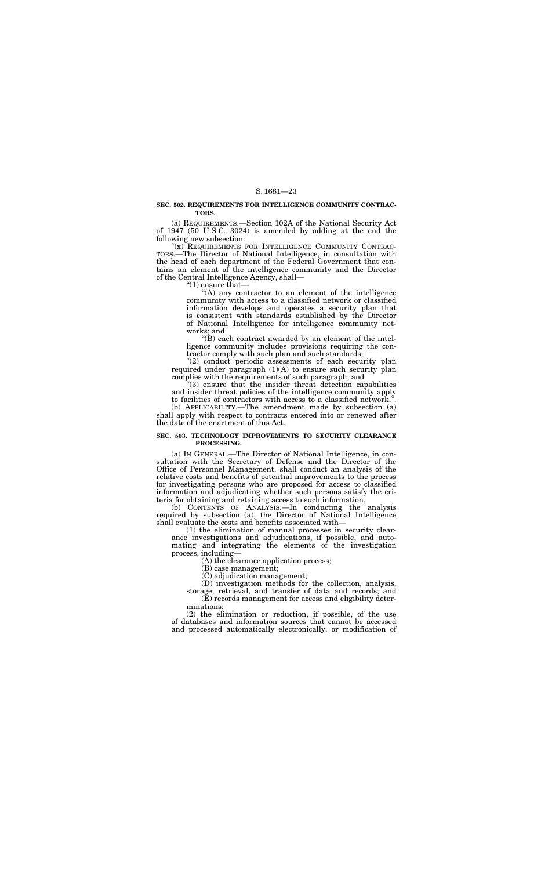#### **SEC. 502. REQUIREMENTS FOR INTELLIGENCE COMMUNITY CONTRAC-TORS.**

(a) REQUIREMENTS.—Section 102A of the National Security Act of 1947 (50 U.S.C. 3024) is amended by adding at the end the following new subsection:

"(x) REQUIREMENTS FOR INTELLIGENCE COMMUNITY CONTRAC-TORS.—The Director of National Intelligence, in consultation with the head of each department of the Federal Government that contains an element of the intelligence community and the Director of the Central Intelligence Agency, shall—

"(1) ensure that—

 $(A)$  any contractor to an element of the intelligence community with access to a classified network or classified information develops and operates a security plan that is consistent with standards established by the Director of National Intelligence for intelligence community networks; and

"(2) conduct periodic assessments of each security plan required under paragraph  $(1)(A)$  to ensure such security plan complies with the requirements of such paragraph; and

''(3) ensure that the insider threat detection capabilities and insider threat policies of the intelligence community apply to facilities of contractors with access to a classified network."

''(B) each contract awarded by an element of the intelligence community includes provisions requiring the contractor comply with such plan and such standards;

(b) APPLICABILITY.—The amendment made by subsection (a) shall apply with respect to contracts entered into or renewed after the date of the enactment of this Act.

#### **SEC. 503. TECHNOLOGY IMPROVEMENTS TO SECURITY CLEARANCE PROCESSING.**

(a) IN GENERAL.—The Director of National Intelligence, in consultation with the Secretary of Defense and the Director of the Office of Personnel Management, shall conduct an analysis of the relative costs and benefits of potential improvements to the process for investigating persons who are proposed for access to classified information and adjudicating whether such persons satisfy the criteria for obtaining and retaining access to such information.

(b) CONTENTS OF ANALYSIS.—In conducting the analysis required by subsection (a), the Director of National Intelligence shall evaluate the costs and benefits associated with—

(1) the elimination of manual processes in security clearance investigations and adjudications, if possible, and automating and integrating the elements of the investigation process, including—

(A) the clearance application process;

(B) case management;

(C) adjudication management;

(D) investigation methods for the collection, analysis, storage, retrieval, and transfer of data and records; and

(E) records management for access and eligibility determinations;

(2) the elimination or reduction, if possible, of the use of databases and information sources that cannot be accessed and processed automatically electronically, or modification of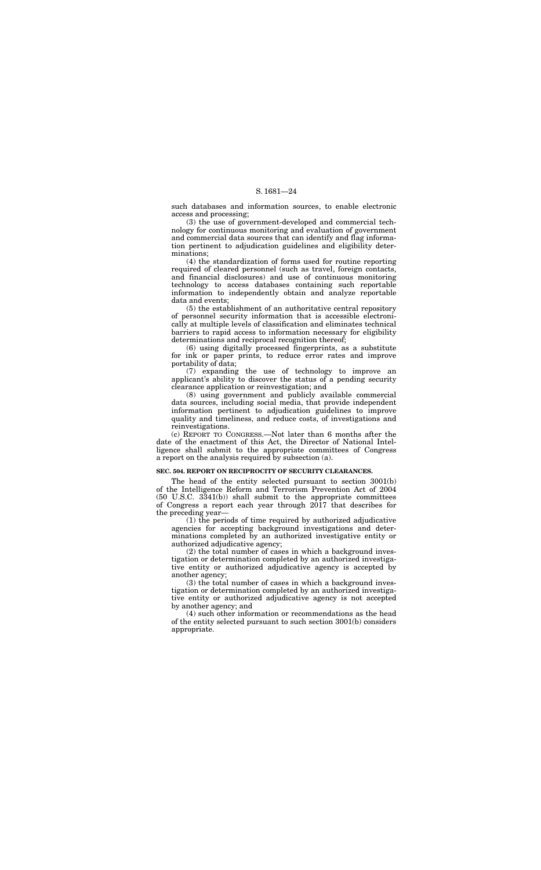such databases and information sources, to enable electronic access and processing;

(3) the use of government-developed and commercial technology for continuous monitoring and evaluation of government and commercial data sources that can identify and flag information pertinent to adjudication guidelines and eligibility determinations;

(5) the establishment of an authoritative central repository of personnel security information that is accessible electronically at multiple levels of classification and eliminates technical barriers to rapid access to information necessary for eligibility determinations and reciprocal recognition thereof:

(4) the standardization of forms used for routine reporting required of cleared personnel (such as travel, foreign contacts, and financial disclosures) and use of continuous monitoring technology to access databases containing such reportable information to independently obtain and analyze reportable data and events;

(6) using digitally processed fingerprints, as a substitute for ink or paper prints, to reduce error rates and improve portability of data;

(7) expanding the use of technology to improve an applicant's ability to discover the status of a pending security clearance application or reinvestigation; and

(8) using government and publicly available commercial data sources, including social media, that provide independent information pertinent to adjudication guidelines to improve quality and timeliness, and reduce costs, of investigations and reinvestigations.

(c) REPORT TO CONGRESS.—Not later than 6 months after the date of the enactment of this Act, the Director of National Intelligence shall submit to the appropriate committees of Congress a report on the analysis required by subsection (a).

#### **SEC. 504. REPORT ON RECIPROCITY OF SECURITY CLEARANCES.**

The head of the entity selected pursuant to section 3001(b) of the Intelligence Reform and Terrorism Prevention Act of 2004 (50 U.S.C. 3341(b)) shall submit to the appropriate committees of Congress a report each year through 2017 that describes for the preceding year—

(1) the periods of time required by authorized adjudicative agencies for accepting background investigations and determinations completed by an authorized investigative entity or authorized adjudicative agency;

(2) the total number of cases in which a background investigation or determination completed by an authorized investigative entity or authorized adjudicative agency is accepted by another agency;

(3) the total number of cases in which a background investigation or determination completed by an authorized investigative entity or authorized adjudicative agency is not accepted by another agency; and

(4) such other information or recommendations as the head of the entity selected pursuant to such section 3001(b) considers appropriate.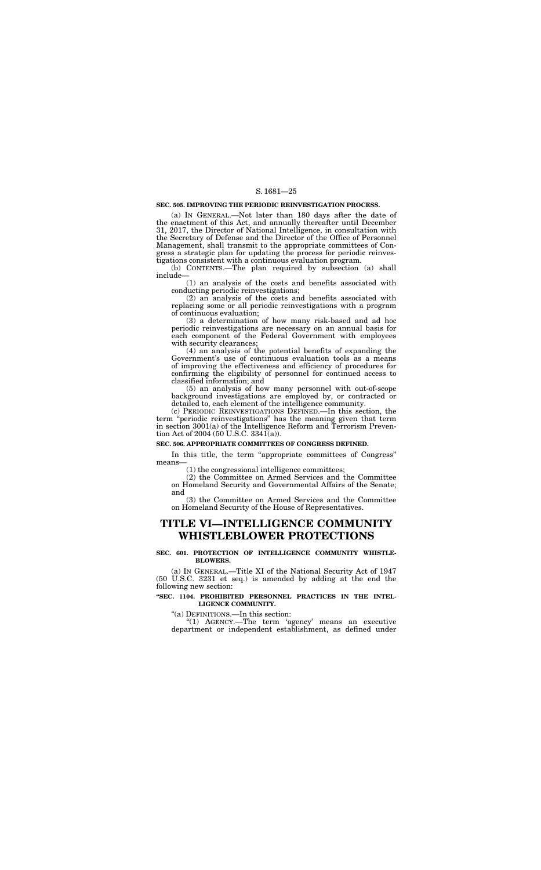#### **SEC. 505. IMPROVING THE PERIODIC REINVESTIGATION PROCESS.**

(a) IN GENERAL.—Not later than 180 days after the date of the enactment of this Act, and annually thereafter until December 31, 2017, the Director of National Intelligence, in consultation with the Secretary of Defense and the Director of the Office of Personnel Management, shall transmit to the appropriate committees of Congress a strategic plan for updating the process for periodic reinvestigations consistent with a continuous evaluation program.

(b) CONTENTS.—The plan required by subsection (a) shall include—

(1) an analysis of the costs and benefits associated with conducting periodic reinvestigations;

(5) an analysis of how many personnel with out-of-scope background investigations are employed by, or contracted or detailed to, each element of the intelligence community.

(c) PERIODIC REINVESTIGATIONS DEFINED.—In this section, the term ''periodic reinvestigations'' has the meaning given that term in section 3001(a) of the Intelligence Reform and Terrorism Prevention Act of 2004 (50 U.S.C. 3341(a)).

(2) an analysis of the costs and benefits associated with replacing some or all periodic reinvestigations with a program of continuous evaluation;

In this title, the term "appropriate committees of Congress" means—

(3) a determination of how many risk-based and ad hoc periodic reinvestigations are necessary on an annual basis for each component of the Federal Government with employees with security clearances;

(4) an analysis of the potential benefits of expanding the Government's use of continuous evaluation tools as a means of improving the effectiveness and efficiency of procedures for confirming the eligibility of personnel for continued access to classified information; and

"(1) AGENCY.—The term 'agency' means an executive department or independent establishment, as defined under

#### **SEC. 506. APPROPRIATE COMMITTEES OF CONGRESS DEFINED.**

(1) the congressional intelligence committees;

(2) the Committee on Armed Services and the Committee on Homeland Security and Governmental Affairs of the Senate; and

(3) the Committee on Armed Services and the Committee on Homeland Security of the House of Representatives.

## **TITLE VI—INTELLIGENCE COMMUNITY WHISTLEBLOWER PROTECTIONS**

#### **SEC. 601. PROTECTION OF INTELLIGENCE COMMUNITY WHISTLE-BLOWERS.**

(a) IN GENERAL.—Title XI of the National Security Act of 1947 (50 U.S.C. 3231 et seq.) is amended by adding at the end the following new section:

#### **''SEC. 1104. PROHIBITED PERSONNEL PRACTICES IN THE INTEL-LIGENCE COMMUNITY.**

''(a) DEFINITIONS.—In this section: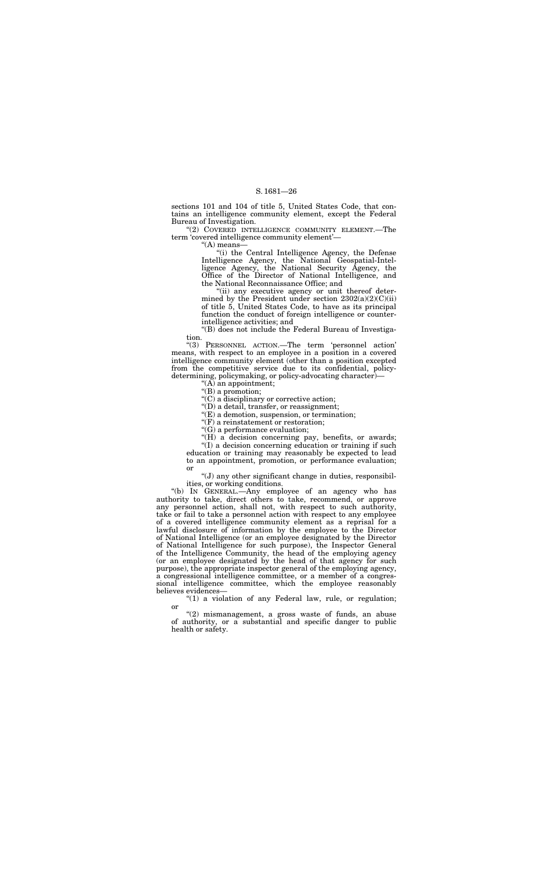sections 101 and 104 of title 5, United States Code, that contains an intelligence community element, except the Federal Bureau of Investigation.

"(2) COVERED INTELLIGENCE COMMUNITY ELEMENT.-The term 'covered intelligence community element'—

> "(i) the Central Intelligence Agency, the Defense Intelligence Agency, the National Geospatial-Intelligence Agency, the National Security Agency, the Office of the Director of National Intelligence, and the National Reconnaissance Office; and

''(A) means—

''(ii) any executive agency or unit thereof determined by the President under section  $2302(a)(2)(C)(ii)$ of title 5, United States Code, to have as its principal function the conduct of foreign intelligence or counterintelligence activities; and

''(B) does not include the Federal Bureau of Investigation.

"(H) a decision concerning pay, benefits, or awards; ''(I) a decision concerning education or training if such education or training may reasonably be expected to lead to an appointment, promotion, or performance evaluation; or

''(3) PERSONNEL ACTION.—The term 'personnel action' means, with respect to an employee in a position in a covered intelligence community element (other than a position excepted from the competitive service due to its confidential, policydetermining, policymaking, or policy-advocating character)—

''(A) an appointment;

"(B) a promotion;

''(C) a disciplinary or corrective action;

''(D) a detail, transfer, or reassignment;

 $\mathcal{F}(E)$  a demotion, suspension, or termination;

 $''(1)$  a violation of any Federal law, rule, or regulation; or

''(F) a reinstatement or restoration;

" $(G)$  a performance evaluation;

"(2) mismanagement, a gross waste of funds, an abuse of authority, or a substantial and specific danger to public health or safety.

''(J) any other significant change in duties, responsibilities, or working conditions.

''(b) IN GENERAL.—Any employee of an agency who has authority to take, direct others to take, recommend, or approve any personnel action, shall not, with respect to such authority, take or fail to take a personnel action with respect to any employee of a covered intelligence community element as a reprisal for a lawful disclosure of information by the employee to the Director of National Intelligence (or an employee designated by the Director of National Intelligence for such purpose), the Inspector General of the Intelligence Community, the head of the employing agency (or an employee designated by the head of that agency for such purpose), the appropriate inspector general of the employing agency, a congressional intelligence committee, or a member of a congressional intelligence committee, which the employee reasonably believes evidences—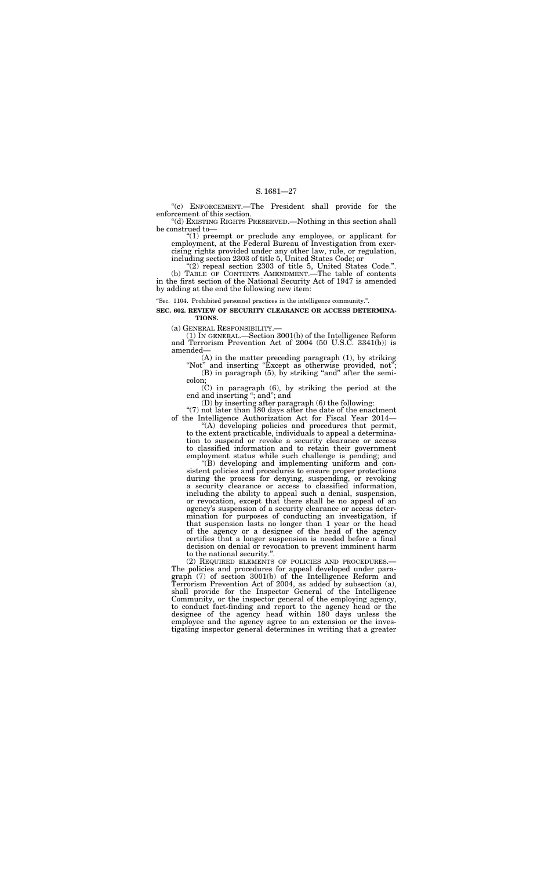''(c) ENFORCEMENT.—The President shall provide for the enforcement of this section.

''(d) EXISTING RIGHTS PRESERVED.—Nothing in this section shall be construed to—

"(1) preempt or preclude any employee, or applicant for employment, at the Federal Bureau of Investigation from exercising rights provided under any other law, rule, or regulation, including section 2303 of title 5, United States Code; or

(A) in the matter preceding paragraph (1), by striking "Not" and inserting "Except as otherwise provided, not";

''(2) repeal section 2303 of title 5, United States Code.''. (b) TABLE OF CONTENTS AMENDMENT.—The table of contents in the first section of the National Security Act of 1947 is amended by adding at the end the following new item:

> $(B)$  in paragraph  $(5)$ , by striking "and" after the semicolon;

> $\overrightarrow{C}$ ) in paragraph (6), by striking the period at the end and inserting "; and"; and

''Sec. 1104. Prohibited personnel practices in the intelligence community.''.

"(7) not later than 180 days after the date of the enactment of the Intelligence Authorization Act for Fiscal Year 2014—

**SEC. 602. REVIEW OF SECURITY CLEARANCE OR ACCESS DETERMINA-TIONS.** 

(a) GENERAL RESPONSIBILITY.— (1) IN GENERAL.—Section 3001(b) of the Intelligence Reform and Terrorism Prevention Act of 2004 (50 U.S.C. 3341(b)) is amended—

(D) by inserting after paragraph (6) the following:

''(A) developing policies and procedures that permit, to the extent practicable, individuals to appeal a determination to suspend or revoke a security clearance or access to classified information and to retain their government employment status while such challenge is pending; and

''(B) developing and implementing uniform and consistent policies and procedures to ensure proper protections during the process for denying, suspending, or revoking a security clearance or access to classified information, including the ability to appeal such a denial, suspension, or revocation, except that there shall be no appeal of an agency's suspension of a security clearance or access determination for purposes of conducting an investigation, if that suspension lasts no longer than 1 year or the head of the agency or a designee of the head of the agency certifies that a longer suspension is needed before a final decision on denial or revocation to prevent imminent harm to the national security.''.

(2) REQUIRED ELEMENTS OF POLICIES AND PROCEDURES.— The policies and procedures for appeal developed under paragraph (7) of section 3001(b) of the Intelligence Reform and Terrorism Prevention Act of 2004, as added by subsection (a), shall provide for the Inspector General of the Intelligence Community, or the inspector general of the employing agency, to conduct fact-finding and report to the agency head or the designee of the agency head within 180 days unless the employee and the agency agree to an extension or the investigating inspector general determines in writing that a greater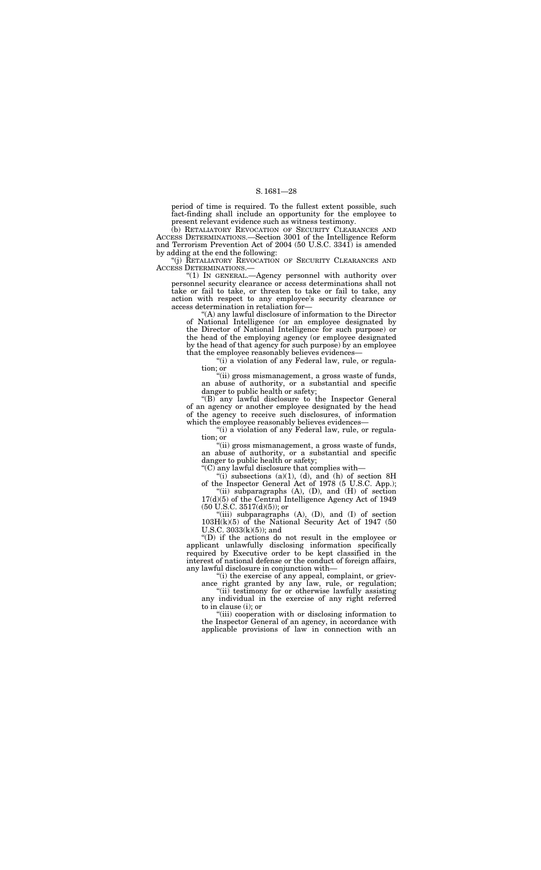period of time is required. To the fullest extent possible, such fact-finding shall include an opportunity for the employee to present relevant evidence such as witness testimony.

(b) RETALIATORY REVOCATION OF SECURITY CLEARANCES AND ACCESS DETERMINATIONS.—Section 3001 of the Intelligence Reform and Terrorism Prevention Act of 2004 (50 U.S.C. 3341) is amended by adding at the end the following:

''(j) RETALIATORY REVOCATION OF SECURITY CLEARANCES AND ACCESS DETERMINATIONS.—

> "(i) a violation of any Federal law, rule, or regulation; or

''(1) IN GENERAL.—Agency personnel with authority over personnel security clearance or access determinations shall not take or fail to take, or threaten to take or fail to take, any action with respect to any employee's security clearance or access determination in retaliation for—

''(B) any lawful disclosure to the Inspector General of an agency or another employee designated by the head of the agency to receive such disclosures, of information which the employee reasonably believes evidences—

"(i) a violation of any Federal law, rule, or regulation; or

''(A) any lawful disclosure of information to the Director of National Intelligence (or an employee designated by the Director of National Intelligence for such purpose) or the head of the employing agency (or employee designated by the head of that agency for such purpose) by an employee that the employee reasonably believes evidences—

"(i) subsections  $(a)(1)$ ,  $(d)$ , and  $(h)$  of section  $8H$ of the Inspector General Act of 1978 (5 U.S.C. App.);

"(ii) subparagraphs  $(A)$ ,  $(D)$ , and  $(H)$  of section 17(d)(5) of the Central Intelligence Agency Act of 1949 (50 U.S.C. 3517(d)(5)); or

"(iii) subparagraphs (A), (D), and (I) of section 103H(k)(5) of the National Security Act of 1947 (50 U.S.C.  $3033(k)(5)$ ; and

''(ii) gross mismanagement, a gross waste of funds, an abuse of authority, or a substantial and specific danger to public health or safety;

"(i) the exercise of any appeal, complaint, or grievance right granted by any law, rule, or regulation;

"(ii) testimony for or otherwise lawfully assisting any individual in the exercise of any right referred to in clause (i); or

''(ii) gross mismanagement, a gross waste of funds, an abuse of authority, or a substantial and specific danger to public health or safety;

''(C) any lawful disclosure that complies with—

''(D) if the actions do not result in the employee or applicant unlawfully disclosing information specifically required by Executive order to be kept classified in the interest of national defense or the conduct of foreign affairs, any lawful disclosure in conjunction with—

''(iii) cooperation with or disclosing information to the Inspector General of an agency, in accordance with applicable provisions of law in connection with an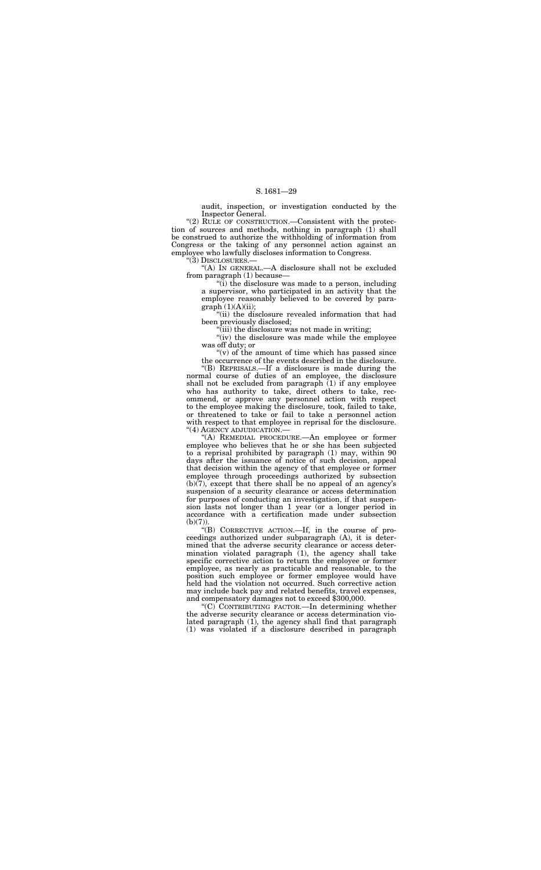audit, inspection, or investigation conducted by the Inspector General.

"(2) RULE OF CONSTRUCTION.—Consistent with the protection of sources and methods, nothing in paragraph (1) shall be construed to authorize the withholding of information from Congress or the taking of any personnel action against an employee who lawfully discloses information to Congress.

''(3) DISCLOSURES.—

"(iv) the disclosure was made while the employee was off duty; or

''(A) IN GENERAL.—A disclosure shall not be excluded from paragraph (1) because—

" $(v)$  of the amount of time which has passed since the occurrence of the events described in the disclosure.

''(i) the disclosure was made to a person, including a supervisor, who participated in an activity that the employee reasonably believed to be covered by paragraph (1)(A)(ii);

''(ii) the disclosure revealed information that had been previously disclosed;

"(iii) the disclosure was not made in writing;

''(A) REMEDIAL PROCEDURE.—An employee or former employee who believes that he or she has been subjected to a reprisal prohibited by paragraph (1) may, within 90 days after the issuance of notice of such decision, appeal that decision within the agency of that employee or former employee through proceedings authorized by subsection (b)(7), except that there shall be no appeal of an agency's suspension of a security clearance or access determination for purposes of conducting an investigation, if that suspension lasts not longer than 1 year (or a longer period in accordance with a certification made under subsection  $(b)(7)$ ).

''(B) REPRISALS.—If a disclosure is made during the normal course of duties of an employee, the disclosure shall not be excluded from paragraph (1) if any employee who has authority to take, direct others to take, recommend, or approve any personnel action with respect to the employee making the disclosure, took, failed to take, or threatened to take or fail to take a personnel action with respect to that employee in reprisal for the disclosure. ''(4) AGENCY ADJUDICATION.—

''(B) CORRECTIVE ACTION.—If, in the course of proceedings authorized under subparagraph (A), it is determined that the adverse security clearance or access determination violated paragraph (1), the agency shall take specific corrective action to return the employee or former employee, as nearly as practicable and reasonable, to the position such employee or former employee would have held had the violation not occurred. Such corrective action may include back pay and related benefits, travel expenses, and compensatory damages not to exceed \$300,000.

''(C) CONTRIBUTING FACTOR.—In determining whether the adverse security clearance or access determination violated paragraph (1), the agency shall find that paragraph (1) was violated if a disclosure described in paragraph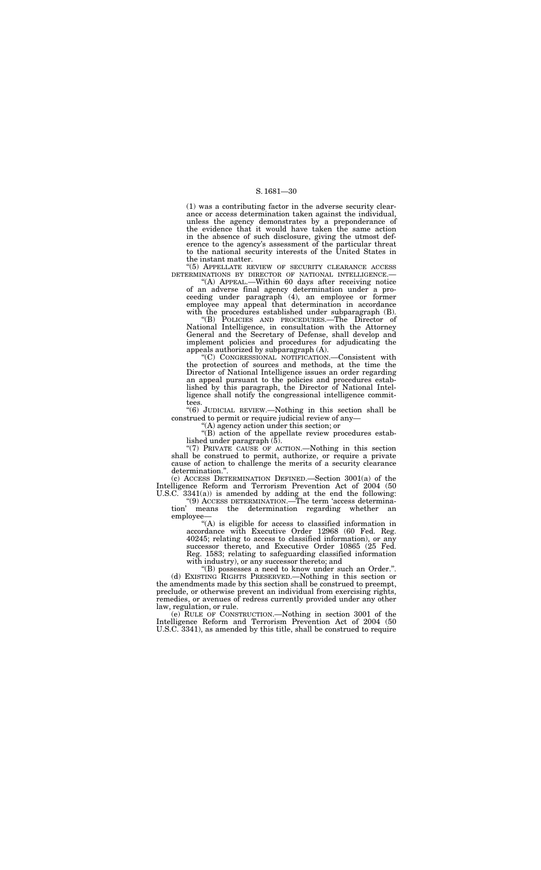(1) was a contributing factor in the adverse security clearance or access determination taken against the individual, unless the agency demonstrates by a preponderance of the evidence that it would have taken the same action in the absence of such disclosure, giving the utmost deference to the agency's assessment of the particular threat to the national security interests of the United States in the instant matter.

"(5) APPELLATE REVIEW OF SECURITY CLEARANCE ACCESS<br>DETERMINATIONS BY DIRECTOR OF NATIONAL INTELLIGENCE.

 $H(A)$  APPEAL.—Within 60 days after receiving notice of an adverse final agency determination under a proceeding under paragraph (4), an employee or former employee may appeal that determination in accordance with the procedures established under subparagraph (B).

''(B) POLICIES AND PROCEDURES.—The Director of National Intelligence, in consultation with the Attorney General and the Secretary of Defense, shall develop and implement policies and procedures for adjudicating the appeals authorized by subparagraph (A).

''(C) CONGRESSIONAL NOTIFICATION.—Consistent with the protection of sources and methods, at the time the Director of National Intelligence issues an order regarding an appeal pursuant to the policies and procedures established by this paragraph, the Director of National Intelligence shall notify the congressional intelligence committees.

''(6) JUDICIAL REVIEW.—Nothing in this section shall be construed to permit or require judicial review of any—

''(A) agency action under this section; or

''(B) action of the appellate review procedures established under paragraph (5).

''(7) PRIVATE CAUSE OF ACTION.—Nothing in this section shall be construed to permit, authorize, or require a private cause of action to challenge the merits of a security clearance determination.''.

(c) ACCESS DETERMINATION DEFINED.—Section 3001(a) of the Intelligence Reform and Terrorism Prevention Act of 2004 (50 U.S.C. 3341(a)) is amended by adding at the end the following:

''(9) ACCESS DETERMINATION.—The term 'access determination' means the determination regarding whether an employee—

''(A) is eligible for access to classified information in accordance with Executive Order 12968 (60 Fed. Reg. 40245; relating to access to classified information), or any successor thereto, and Executive Order 10865 (25 Fed. Reg. 1583; relating to safeguarding classified information with industry), or any successor thereto; and

''(B) possesses a need to know under such an Order.''. (d) EXISTING RIGHTS PRESERVED.—Nothing in this section or the amendments made by this section shall be construed to preempt, preclude, or otherwise prevent an individual from exercising rights, remedies, or avenues of redress currently provided under any other law, regulation, or rule.

(e) RULE OF CONSTRUCTION.—Nothing in section 3001 of the Intelligence Reform and Terrorism Prevention Act of 2004 (50 U.S.C. 3341), as amended by this title, shall be construed to require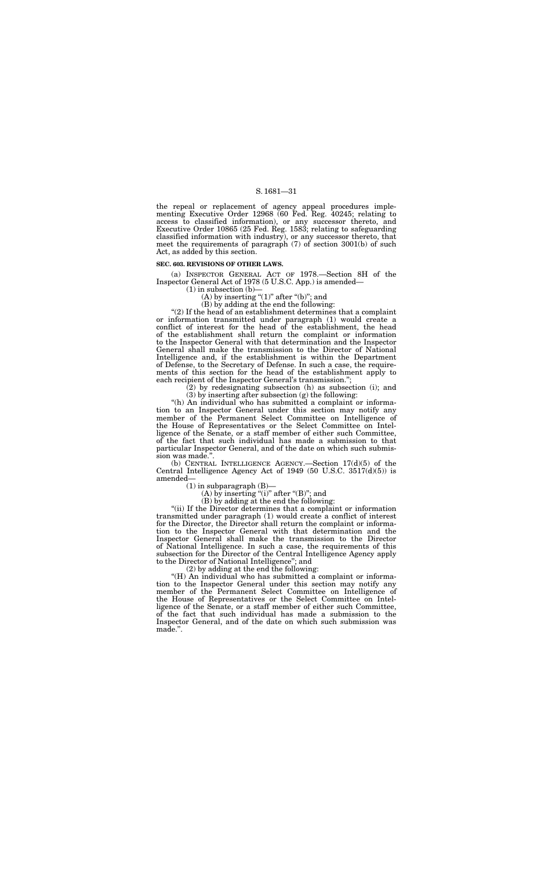the repeal or replacement of agency appeal procedures implementing Executive Order 12968 (60 Fed. Reg. 40245; relating to access to classified information), or any successor thereto, and Executive Order 10865 (25 Fed. Reg. 1583; relating to safeguarding classified information with industry), or any successor thereto, that meet the requirements of paragraph (7) of section 3001(b) of such Act, as added by this section.

#### **SEC. 603. REVISIONS OF OTHER LAWS.**

(a) INSPECTOR GENERAL ACT OF 1978.—Section 8H of the Inspector General Act of 1978 (5 U.S.C. App.) is amended—

 $(1)$  in subsection  $(b)$ –

(A) by inserting " $(1)$ " after " $(b)$ "; and

(B) by adding at the end the following:

''(2) If the head of an establishment determines that a complaint or information transmitted under paragraph (1) would create a conflict of interest for the head of the establishment, the head of the establishment shall return the complaint or information to the Inspector General with that determination and the Inspector General shall make the transmission to the Director of National Intelligence and, if the establishment is within the Department of Defense, to the Secretary of Defense. In such a case, the requirements of this section for the head of the establishment apply to each recipient of the Inspector General's transmission.'';

(2) by redesignating subsection (h) as subsection (i); and (3) by inserting after subsection (g) the following:

"(h) An individual who has submitted a complaint or information to an Inspector General under this section may notify any member of the Permanent Select Committee on Intelligence of the House of Representatives or the Select Committee on Intelligence of the Senate, or a staff member of either such Committee, of the fact that such individual has made a submission to that particular Inspector General, and of the date on which such submission was made."

"(H) An individual who has submitted a complaint or information to the Inspector General under this section may notify any member of the Permanent Select Committee on Intelligence of the House of Representatives or the Select Committee on Intelligence of the Senate, or a staff member of either such Committee, of the fact that such individual has made a submission to the Inspector General, and of the date on which such submission was made.''.

(b) CENTRAL INTELLIGENCE AGENCY.—Section 17(d)(5) of the Central Intelligence Agency Act of 1949 (50 U.S.C. 3517(d)(5)) is amended—

(1) in subparagraph (B)—

(A) by inserting "(i)" after " $(B)$ "; and

(B) by adding at the end the following:

''(ii) If the Director determines that a complaint or information transmitted under paragraph (1) would create a conflict of interest for the Director, the Director shall return the complaint or information to the Inspector General with that determination and the Inspector General shall make the transmission to the Director of National Intelligence. In such a case, the requirements of this subsection for the Director of the Central Intelligence Agency apply to the Director of National Intelligence''; and

(2) by adding at the end the following: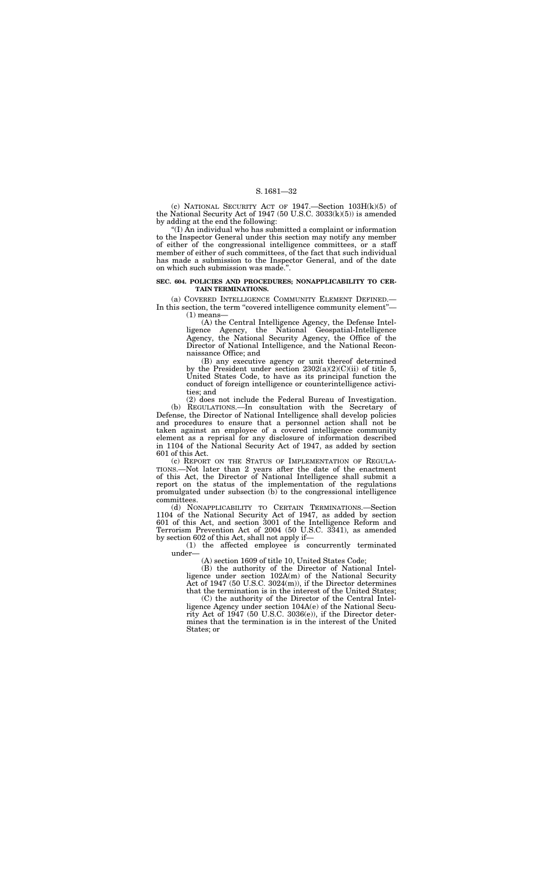(c) NATIONAL SECURITY ACT OF  $1947$ . Section  $103H(k)(5)$  of the National Security Act of 1947 (50 U.S.C. 3033(k)(5)) is amended by adding at the end the following:

(a) COVERED INTELLIGENCE COMMUNITY ELEMENT DEFINED.— In this section, the term "covered intelligence community element"—  $(1)$  means-

''(I) An individual who has submitted a complaint or information to the Inspector General under this section may notify any member of either of the congressional intelligence committees, or a staff member of either of such committees, of the fact that such individual has made a submission to the Inspector General, and of the date on which such submission was made.''.

#### **SEC. 604. POLICIES AND PROCEDURES; NONAPPLICABILITY TO CER-TAIN TERMINATIONS.**

(A) the Central Intelligence Agency, the Defense Intelligence Agency, the National Geospatial-Intelligence Agency, the National Security Agency, the Office of the Director of National Intelligence, and the National Reconnaissance Office; and

(B) any executive agency or unit thereof determined by the President under section  $2302(a)(2)(C)(ii)$  of title 5, United States Code, to have as its principal function the conduct of foreign intelligence or counterintelligence activities; and

(2) does not include the Federal Bureau of Investigation. (b) REGULATIONS.—In consultation with the Secretary of Defense, the Director of National Intelligence shall develop policies and procedures to ensure that a personnel action shall not be taken against an employee of a covered intelligence community element as a reprisal for any disclosure of information described in 1104 of the National Security Act of 1947, as added by section 601 of this Act.

(c) REPORT ON THE STATUS OF IMPLEMENTATION OF REGULA-TIONS.—Not later than 2 years after the date of the enactment of this Act, the Director of National Intelligence shall submit a report on the status of the implementation of the regulations promulgated under subsection (b) to the congressional intelligence committees.

(d) NONAPPLICABILITY TO CERTAIN TERMINATIONS.—Section 1104 of the National Security Act of 1947, as added by section 601 of this Act, and section 3001 of the Intelligence Reform and Terrorism Prevention Act of 2004 (50 U.S.C. 3341), as amended by section 602 of this Act, shall not apply if—

(1) the affected employee is concurrently terminated under—

(A) section 1609 of title 10, United States Code;

(B) the authority of the Director of National Intelligence under section 102A(m) of the National Security Act of 1947 (50 U.S.C. 3024(m)), if the Director determines that the termination is in the interest of the United States;

(C) the authority of the Director of the Central Intelligence Agency under section 104A(e) of the National Security Act of 1947 (50 U.S.C. 3036(e)), if the Director determines that the termination is in the interest of the United States; or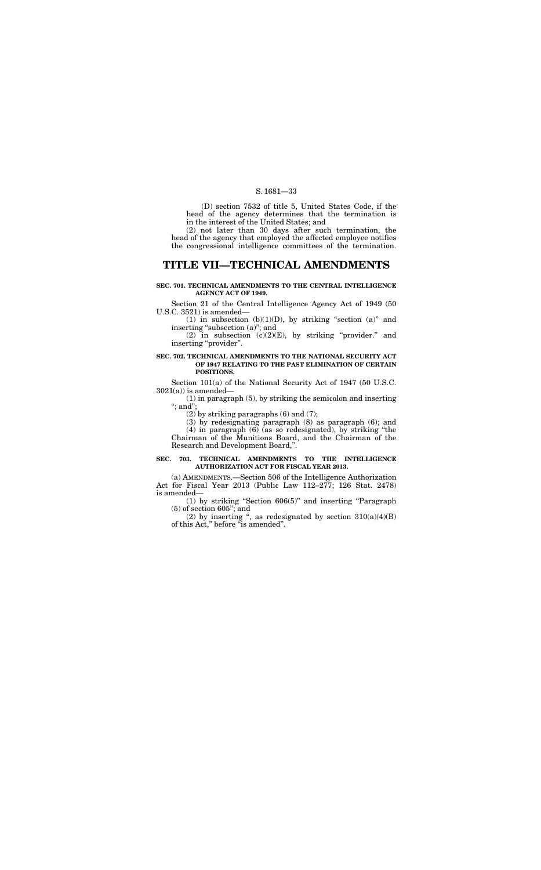(D) section 7532 of title 5, United States Code, if the head of the agency determines that the termination is in the interest of the United States; and

(2) not later than 30 days after such termination, the head of the agency that employed the affected employee notifies the congressional intelligence committees of the termination.

## **TITLE VII—TECHNICAL AMENDMENTS**

#### **SEC. 701. TECHNICAL AMENDMENTS TO THE CENTRAL INTELLIGENCE AGENCY ACT OF 1949.**

Section 101(a) of the National Security Act of 1947 (50 U.S.C.  $3021(a)$ ) is amended-

(1) in paragraph (5), by striking the semicolon and inserting "; and";

Section 21 of the Central Intelligence Agency Act of 1949 (50 U.S.C. 3521) is amended—

(1) in subsection (b)(1)(D), by striking "section (a)" and inserting "subsection (a)"; and

(2) in subsection  $(c)(2)(E)$ , by striking "provider." and inserting "provider".

#### **SEC. 702. TECHNICAL AMENDMENTS TO THE NATIONAL SECURITY ACT OF 1947 RELATING TO THE PAST ELIMINATION OF CERTAIN POSITIONS.**

(2) by striking paragraphs (6) and (7);

(3) by redesignating paragraph (8) as paragraph (6); and

(4) in paragraph (6) (as so redesignated), by striking ''the Chairman of the Munitions Board, and the Chairman of the Research and Development Board,''.

#### **SEC. 703. TECHNICAL AMENDMENTS TO THE INTELLIGENCE AUTHORIZATION ACT FOR FISCAL YEAR 2013.**

(a) AMENDMENTS.—Section 506 of the Intelligence Authorization Act for Fiscal Year 2013 (Public Law 112–277; 126 Stat. 2478) is amended—

(1) by striking ''Section 606(5)'' and inserting ''Paragraph (5) of section 605''; and

(2) by inserting ", as redesignated by section  $310(a)(4)(B)$ of this Act," before "is amended".